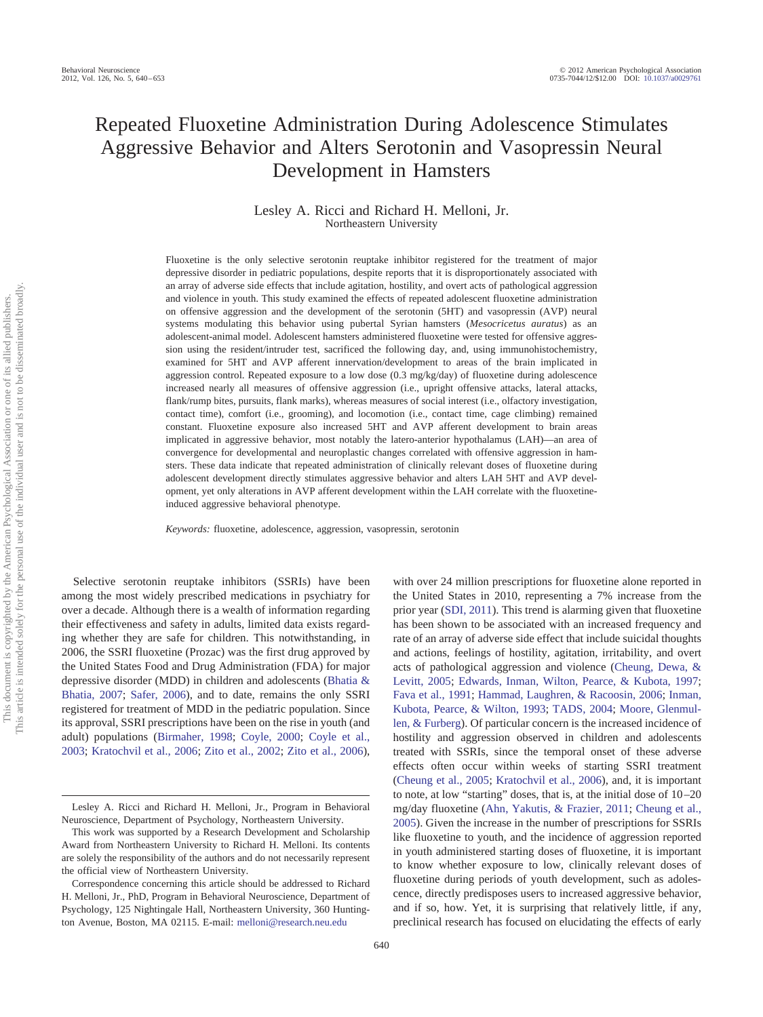# Repeated Fluoxetine Administration During Adolescence Stimulates Aggressive Behavior and Alters Serotonin and Vasopressin Neural Development in Hamsters

Lesley A. Ricci and Richard H. Melloni, Jr. Northeastern University

Fluoxetine is the only selective serotonin reuptake inhibitor registered for the treatment of major depressive disorder in pediatric populations, despite reports that it is disproportionately associated with an array of adverse side effects that include agitation, hostility, and overt acts of pathological aggression and violence in youth. This study examined the effects of repeated adolescent fluoxetine administration on offensive aggression and the development of the serotonin (5HT) and vasopressin (AVP) neural systems modulating this behavior using pubertal Syrian hamsters (*Mesocricetus auratus*) as an adolescent-animal model. Adolescent hamsters administered fluoxetine were tested for offensive aggression using the resident/intruder test, sacrificed the following day, and, using immunohistochemistry, examined for 5HT and AVP afferent innervation/development to areas of the brain implicated in aggression control. Repeated exposure to a low dose (0.3 mg/kg/day) of fluoxetine during adolescence increased nearly all measures of offensive aggression (i.e., upright offensive attacks, lateral attacks, flank/rump bites, pursuits, flank marks), whereas measures of social interest (i.e., olfactory investigation, contact time), comfort (i.e., grooming), and locomotion (i.e., contact time, cage climbing) remained constant. Fluoxetine exposure also increased 5HT and AVP afferent development to brain areas implicated in aggressive behavior, most notably the latero-anterior hypothalamus (LAH)—an area of convergence for developmental and neuroplastic changes correlated with offensive aggression in hamsters. These data indicate that repeated administration of clinically relevant doses of fluoxetine during adolescent development directly stimulates aggressive behavior and alters LAH 5HT and AVP development, yet only alterations in AVP afferent development within the LAH correlate with the fluoxetineinduced aggressive behavioral phenotype.

*Keywords:* fluoxetine, adolescence, aggression, vasopressin, serotonin

Selective serotonin reuptake inhibitors (SSRIs) have been among the most widely prescribed medications in psychiatry for over a decade. Although there is a wealth of information regarding their effectiveness and safety in adults, limited data exists regarding whether they are safe for children. This notwithstanding, in 2006, the SSRI fluoxetine (Prozac) was the first drug approved by the United States Food and Drug Administration (FDA) for major depressive disorder (MDD) in children and adolescents (Bhatia & Bhatia, 2007; Safer, 2006), and to date, remains the only SSRI registered for treatment of MDD in the pediatric population. Since its approval, SSRI prescriptions have been on the rise in youth (and adult) populations (Birmaher, 1998; Coyle, 2000; Coyle et al., 2003; Kratochvil et al., 2006; Zito et al., 2002; Zito et al., 2006),

with over 24 million prescriptions for fluoxetine alone reported in the United States in 2010, representing a 7% increase from the prior year (SDI, 2011). This trend is alarming given that fluoxetine has been shown to be associated with an increased frequency and rate of an array of adverse side effect that include suicidal thoughts and actions, feelings of hostility, agitation, irritability, and overt acts of pathological aggression and violence (Cheung, Dewa, & Levitt, 2005; Edwards, Inman, Wilton, Pearce, & Kubota, 1997; Fava et al., 1991; Hammad, Laughren, & Racoosin, 2006; Inman, Kubota, Pearce, & Wilton, 1993; TADS, 2004; Moore, Glenmullen, & Furberg). Of particular concern is the increased incidence of hostility and aggression observed in children and adolescents treated with SSRIs, since the temporal onset of these adverse effects often occur within weeks of starting SSRI treatment (Cheung et al., 2005; Kratochvil et al., 2006), and, it is important to note, at low "starting" doses, that is, at the initial dose of 10 –20 mg/day fluoxetine (Ahn, Yakutis, & Frazier, 2011; Cheung et al., 2005). Given the increase in the number of prescriptions for SSRIs like fluoxetine to youth, and the incidence of aggression reported in youth administered starting doses of fluoxetine, it is important to know whether exposure to low, clinically relevant doses of fluoxetine during periods of youth development, such as adolescence, directly predisposes users to increased aggressive behavior, and if so, how. Yet, it is surprising that relatively little, if any, preclinical research has focused on elucidating the effects of early

Lesley A. Ricci and Richard H. Melloni, Jr., Program in Behavioral Neuroscience, Department of Psychology, Northeastern University.

This work was supported by a Research Development and Scholarship Award from Northeastern University to Richard H. Melloni. Its contents are solely the responsibility of the authors and do not necessarily represent the official view of Northeastern University.

Correspondence concerning this article should be addressed to Richard H. Melloni, Jr., PhD, Program in Behavioral Neuroscience, Department of Psychology, 125 Nightingale Hall, Northeastern University, 360 Huntington Avenue, Boston, MA 02115. E-mail: melloni@research.neu.edu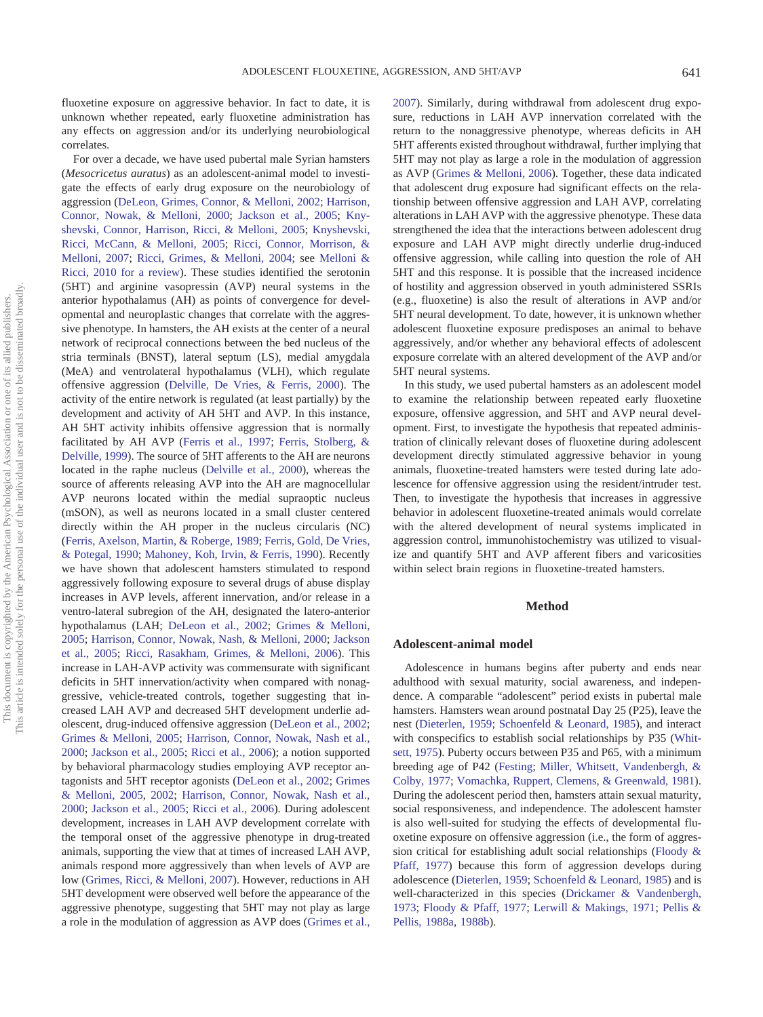fluoxetine exposure on aggressive behavior. In fact to date, it is unknown whether repeated, early fluoxetine administration has any effects on aggression and/or its underlying neurobiological correlates.

For over a decade, we have used pubertal male Syrian hamsters (*Mesocricetus auratus*) as an adolescent-animal model to investigate the effects of early drug exposure on the neurobiology of aggression (DeLeon, Grimes, Connor, & Melloni, 2002; Harrison, Connor, Nowak, & Melloni, 2000; Jackson et al., 2005; Knyshevski, Connor, Harrison, Ricci, & Melloni, 2005; Knyshevski, Ricci, McCann, & Melloni, 2005; Ricci, Connor, Morrison, & Melloni, 2007; Ricci, Grimes, & Melloni, 2004; see Melloni & Ricci, 2010 for a review). These studies identified the serotonin (5HT) and arginine vasopressin (AVP) neural systems in the anterior hypothalamus (AH) as points of convergence for developmental and neuroplastic changes that correlate with the aggressive phenotype. In hamsters, the AH exists at the center of a neural network of reciprocal connections between the bed nucleus of the stria terminals (BNST), lateral septum (LS), medial amygdala (MeA) and ventrolateral hypothalamus (VLH), which regulate offensive aggression (Delville, De Vries, & Ferris, 2000). The activity of the entire network is regulated (at least partially) by the development and activity of AH 5HT and AVP. In this instance, AH 5HT activity inhibits offensive aggression that is normally facilitated by AH AVP (Ferris et al., 1997; Ferris, Stolberg, & Delville, 1999). The source of 5HT afferents to the AH are neurons located in the raphe nucleus (Delville et al., 2000), whereas the source of afferents releasing AVP into the AH are magnocellular AVP neurons located within the medial supraoptic nucleus (mSON), as well as neurons located in a small cluster centered directly within the AH proper in the nucleus circularis (NC) (Ferris, Axelson, Martin, & Roberge, 1989; Ferris, Gold, De Vries, & Potegal, 1990; Mahoney, Koh, Irvin, & Ferris, 1990). Recently we have shown that adolescent hamsters stimulated to respond aggressively following exposure to several drugs of abuse display increases in AVP levels, afferent innervation, and/or release in a ventro-lateral subregion of the AH, designated the latero-anterior hypothalamus (LAH; DeLeon et al., 2002; Grimes & Melloni, 2005; Harrison, Connor, Nowak, Nash, & Melloni, 2000; Jackson et al., 2005; Ricci, Rasakham, Grimes, & Melloni, 2006). This increase in LAH-AVP activity was commensurate with significant deficits in 5HT innervation/activity when compared with nonaggressive, vehicle-treated controls, together suggesting that increased LAH AVP and decreased 5HT development underlie adolescent, drug-induced offensive aggression (DeLeon et al., 2002; Grimes & Melloni, 2005; Harrison, Connor, Nowak, Nash et al., 2000; Jackson et al., 2005; Ricci et al., 2006); a notion supported by behavioral pharmacology studies employing AVP receptor antagonists and 5HT receptor agonists (DeLeon et al., 2002; Grimes & Melloni, 2005, 2002; Harrison, Connor, Nowak, Nash et al., 2000; Jackson et al., 2005; Ricci et al., 2006). During adolescent development, increases in LAH AVP development correlate with the temporal onset of the aggressive phenotype in drug-treated animals, supporting the view that at times of increased LAH AVP, animals respond more aggressively than when levels of AVP are low (Grimes, Ricci, & Melloni, 2007). However, reductions in AH 5HT development were observed well before the appearance of the aggressive phenotype, suggesting that 5HT may not play as large a role in the modulation of aggression as AVP does (Grimes et al., 2007). Similarly, during withdrawal from adolescent drug exposure, reductions in LAH AVP innervation correlated with the return to the nonaggressive phenotype, whereas deficits in AH 5HT afferents existed throughout withdrawal, further implying that 5HT may not play as large a role in the modulation of aggression as AVP (Grimes & Melloni, 2006). Together, these data indicated that adolescent drug exposure had significant effects on the relationship between offensive aggression and LAH AVP, correlating alterations in LAH AVP with the aggressive phenotype. These data strengthened the idea that the interactions between adolescent drug exposure and LAH AVP might directly underlie drug-induced offensive aggression, while calling into question the role of AH 5HT and this response. It is possible that the increased incidence of hostility and aggression observed in youth administered SSRIs (e.g., fluoxetine) is also the result of alterations in AVP and/or 5HT neural development. To date, however, it is unknown whether adolescent fluoxetine exposure predisposes an animal to behave aggressively, and/or whether any behavioral effects of adolescent exposure correlate with an altered development of the AVP and/or 5HT neural systems.

In this study, we used pubertal hamsters as an adolescent model to examine the relationship between repeated early fluoxetine exposure, offensive aggression, and 5HT and AVP neural development. First, to investigate the hypothesis that repeated administration of clinically relevant doses of fluoxetine during adolescent development directly stimulated aggressive behavior in young animals, fluoxetine-treated hamsters were tested during late adolescence for offensive aggression using the resident/intruder test. Then, to investigate the hypothesis that increases in aggressive behavior in adolescent fluoxetine-treated animals would correlate with the altered development of neural systems implicated in aggression control, immunohistochemistry was utilized to visualize and quantify 5HT and AVP afferent fibers and varicosities within select brain regions in fluoxetine-treated hamsters.

# **Method**

### **Adolescent-animal model**

Adolescence in humans begins after puberty and ends near adulthood with sexual maturity, social awareness, and independence. A comparable "adolescent" period exists in pubertal male hamsters. Hamsters wean around postnatal Day 25 (P25), leave the nest (Dieterlen, 1959; Schoenfeld & Leonard, 1985), and interact with conspecifics to establish social relationships by P35 (Whitsett, 1975). Puberty occurs between P35 and P65, with a minimum breeding age of P42 (Festing; Miller, Whitsett, Vandenbergh, & Colby, 1977; Vomachka, Ruppert, Clemens, & Greenwald, 1981). During the adolescent period then, hamsters attain sexual maturity, social responsiveness, and independence. The adolescent hamster is also well-suited for studying the effects of developmental fluoxetine exposure on offensive aggression (i.e., the form of aggression critical for establishing adult social relationships (Floody & Pfaff, 1977) because this form of aggression develops during adolescence (Dieterlen, 1959; Schoenfeld & Leonard, 1985) and is well-characterized in this species (Drickamer & Vandenbergh, 1973; Floody & Pfaff, 1977; Lerwill & Makings, 1971; Pellis & Pellis, 1988a, 1988b).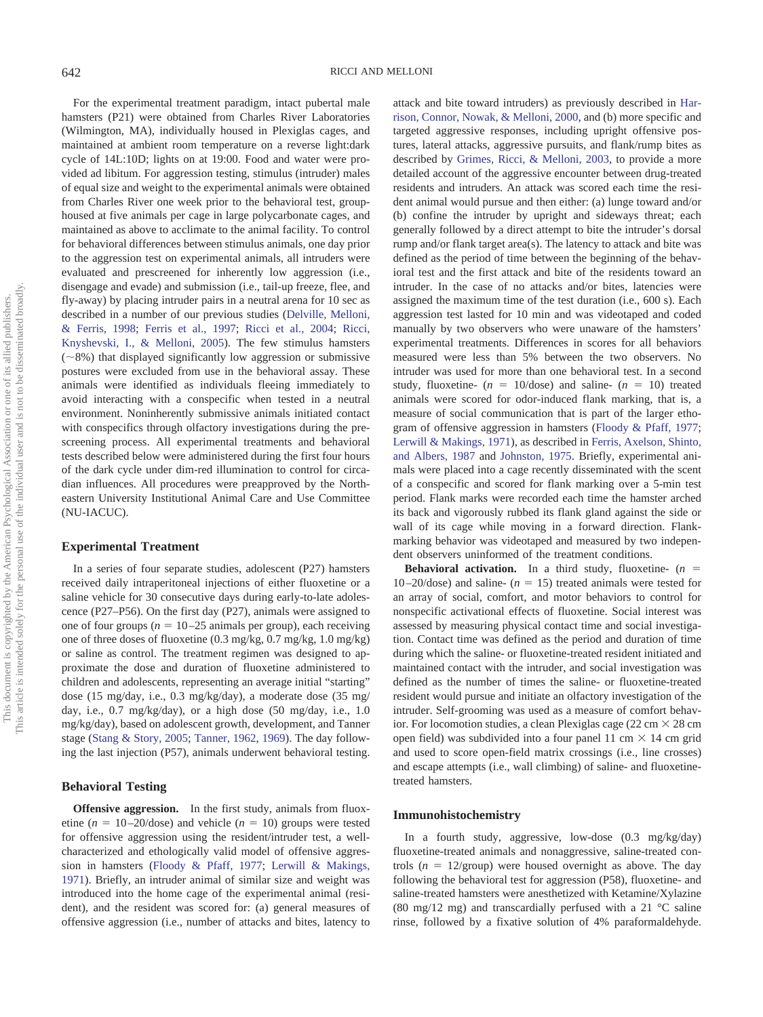For the experimental treatment paradigm, intact pubertal male hamsters (P21) were obtained from Charles River Laboratories (Wilmington, MA), individually housed in Plexiglas cages, and maintained at ambient room temperature on a reverse light:dark cycle of 14L:10D; lights on at 19:00. Food and water were provided ad libitum. For aggression testing, stimulus (intruder) males of equal size and weight to the experimental animals were obtained from Charles River one week prior to the behavioral test, grouphoused at five animals per cage in large polycarbonate cages, and maintained as above to acclimate to the animal facility. To control for behavioral differences between stimulus animals, one day prior to the aggression test on experimental animals, all intruders were evaluated and prescreened for inherently low aggression (i.e., disengage and evade) and submission (i.e., tail-up freeze, flee, and fly-away) by placing intruder pairs in a neutral arena for 10 sec as described in a number of our previous studies (Delville, Melloni, & Ferris, 1998; Ferris et al., 1997; Ricci et al., 2004; Ricci, Knyshevski, I., & Melloni, 2005). The few stimulus hamsters  $(\sim8\%)$  that displayed significantly low aggression or submissive postures were excluded from use in the behavioral assay. These animals were identified as individuals fleeing immediately to avoid interacting with a conspecific when tested in a neutral environment. Noninherently submissive animals initiated contact with conspecifics through olfactory investigations during the prescreening process. All experimental treatments and behavioral tests described below were administered during the first four hours of the dark cycle under dim-red illumination to control for circadian influences. All procedures were preapproved by the Northeastern University Institutional Animal Care and Use Committee (NU-IACUC).

### **Experimental Treatment**

In a series of four separate studies, adolescent (P27) hamsters received daily intraperitoneal injections of either fluoxetine or a saline vehicle for 30 consecutive days during early-to-late adolescence (P27–P56). On the first day (P27), animals were assigned to one of four groups ( $n = 10-25$  animals per group), each receiving one of three doses of fluoxetine (0.3 mg/kg, 0.7 mg/kg, 1.0 mg/kg) or saline as control. The treatment regimen was designed to approximate the dose and duration of fluoxetine administered to children and adolescents, representing an average initial "starting" dose (15 mg/day, i.e., 0.3 mg/kg/day), a moderate dose (35 mg/ day, i.e., 0.7 mg/kg/day), or a high dose (50 mg/day, i.e., 1.0 mg/kg/day), based on adolescent growth, development, and Tanner stage (Stang & Story, 2005; Tanner, 1962, 1969). The day following the last injection (P57), animals underwent behavioral testing.

### **Behavioral Testing**

**Offensive aggression.** In the first study, animals from fluoxetine  $(n = 10-20/\text{dose})$  and vehicle  $(n = 10)$  groups were tested for offensive aggression using the resident/intruder test, a wellcharacterized and ethologically valid model of offensive aggression in hamsters (Floody & Pfaff, 1977; Lerwill & Makings, 1971). Briefly, an intruder animal of similar size and weight was introduced into the home cage of the experimental animal (resident), and the resident was scored for: (a) general measures of offensive aggression (i.e., number of attacks and bites, latency to attack and bite toward intruders) as previously described in Harrison, Connor, Nowak, & Melloni, 2000, and (b) more specific and targeted aggressive responses, including upright offensive postures, lateral attacks, aggressive pursuits, and flank/rump bites as described by Grimes, Ricci, & Melloni, 2003, to provide a more detailed account of the aggressive encounter between drug-treated residents and intruders. An attack was scored each time the resident animal would pursue and then either: (a) lunge toward and/or (b) confine the intruder by upright and sideways threat; each generally followed by a direct attempt to bite the intruder's dorsal rump and/or flank target area(s). The latency to attack and bite was defined as the period of time between the beginning of the behavioral test and the first attack and bite of the residents toward an intruder. In the case of no attacks and/or bites, latencies were assigned the maximum time of the test duration (i.e., 600 s). Each aggression test lasted for 10 min and was videotaped and coded manually by two observers who were unaware of the hamsters' experimental treatments. Differences in scores for all behaviors measured were less than 5% between the two observers. No intruder was used for more than one behavioral test. In a second study, fluoxetine-  $(n = 10/\text{dose})$  and saline-  $(n = 10)$  treated animals were scored for odor-induced flank marking, that is, a measure of social communication that is part of the larger ethogram of offensive aggression in hamsters (Floody & Pfaff, 1977; Lerwill & Makings, 1971), as described in Ferris, Axelson, Shinto, and Albers, 1987 and Johnston, 1975. Briefly, experimental animals were placed into a cage recently disseminated with the scent of a conspecific and scored for flank marking over a 5-min test period. Flank marks were recorded each time the hamster arched its back and vigorously rubbed its flank gland against the side or wall of its cage while moving in a forward direction. Flankmarking behavior was videotaped and measured by two independent observers uninformed of the treatment conditions.

**Behavioral activation.** In a third study, fluoxetine-  $(n = 1)$ 10 $-20$ /dose) and saline- ( $n = 15$ ) treated animals were tested for an array of social, comfort, and motor behaviors to control for nonspecific activational effects of fluoxetine. Social interest was assessed by measuring physical contact time and social investigation. Contact time was defined as the period and duration of time during which the saline- or fluoxetine-treated resident initiated and maintained contact with the intruder, and social investigation was defined as the number of times the saline- or fluoxetine-treated resident would pursue and initiate an olfactory investigation of the intruder. Self-grooming was used as a measure of comfort behavior. For locomotion studies, a clean Plexiglas cage (22 cm  $\times$  28 cm open field) was subdivided into a four panel 11 cm  $\times$  14 cm grid and used to score open-field matrix crossings (i.e., line crosses) and escape attempts (i.e., wall climbing) of saline- and fluoxetinetreated hamsters.

# **Immunohistochemistry**

In a fourth study, aggressive, low-dose (0.3 mg/kg/day) fluoxetine-treated animals and nonaggressive, saline-treated controls  $(n = 12/\text{group})$  were housed overnight as above. The day following the behavioral test for aggression (P58), fluoxetine- and saline-treated hamsters were anesthetized with Ketamine/Xylazine (80 mg/12 mg) and transcardially perfused with a 21  $\degree$ C saline rinse, followed by a fixative solution of 4% paraformaldehyde.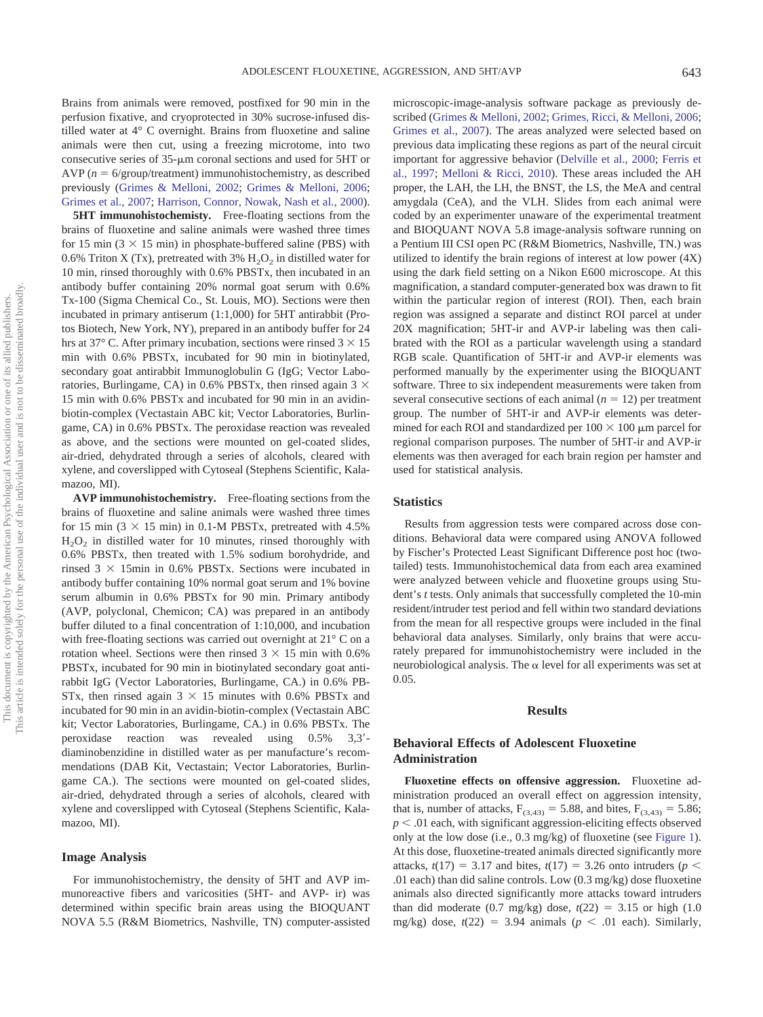Brains from animals were removed, postfixed for 90 min in the perfusion fixative, and cryoprotected in 30% sucrose-infused distilled water at 4° C overnight. Brains from fluoxetine and saline animals were then cut, using a freezing microtome, into two consecutive series of  $35$ - $\mu$ m coronal sections and used for 5HT or  $AVP(n = 6/group/ treatment)$  immunohistochemistry, as described previously (Grimes & Melloni, 2002; Grimes & Melloni, 2006; Grimes et al., 2007; Harrison, Connor, Nowak, Nash et al., 2000).

**5HT immunohistochemisty.** Free-floating sections from the brains of fluoxetine and saline animals were washed three times for 15 min  $(3 \times 15 \text{ min})$  in phosphate-buffered saline (PBS) with 0.6% Triton X (Tx), pretreated with 3%  $H_2O_2$  in distilled water for 10 min, rinsed thoroughly with 0.6% PBSTx, then incubated in an antibody buffer containing 20% normal goat serum with 0.6% Tx-100 (Sigma Chemical Co., St. Louis, MO). Sections were then incubated in primary antiserum (1:1,000) for 5HT antirabbit (Protos Biotech, New York, NY), prepared in an antibody buffer for 24 hrs at 37 $\degree$  C. After primary incubation, sections were rinsed 3  $\times$  15 min with 0.6% PBSTx, incubated for 90 min in biotinylated, secondary goat antirabbit Immunoglobulin G (IgG; Vector Laboratories, Burlingame, CA) in 0.6% PBSTx, then rinsed again 3  $\times$ 15 min with 0.6% PBSTx and incubated for 90 min in an avidinbiotin-complex (Vectastain ABC kit; Vector Laboratories, Burlingame, CA) in 0.6% PBSTx. The peroxidase reaction was revealed as above, and the sections were mounted on gel-coated slides, air-dried, dehydrated through a series of alcohols, cleared with xylene, and coverslipped with Cytoseal (Stephens Scientific, Kalamazoo, MI).

**AVP immunohistochemistry.** Free-floating sections from the brains of fluoxetine and saline animals were washed three times for 15 min  $(3 \times 15 \text{ min})$  in 0.1-M PBSTx, pretreated with 4.5%  $H<sub>2</sub>O<sub>2</sub>$  in distilled water for 10 minutes, rinsed thoroughly with 0.6% PBSTx, then treated with 1.5% sodium borohydride, and rinsed  $3 \times 15$ min in 0.6% PBSTx. Sections were incubated in antibody buffer containing 10% normal goat serum and 1% bovine serum albumin in 0.6% PBSTx for 90 min. Primary antibody (AVP, polyclonal, Chemicon; CA) was prepared in an antibody buffer diluted to a final concentration of 1:10,000, and incubation with free-floating sections was carried out overnight at 21<sup>°</sup> C on a rotation wheel. Sections were then rinsed  $3 \times 15$  min with 0.6% PBSTx, incubated for 90 min in biotinylated secondary goat antirabbit IgG (Vector Laboratories, Burlingame, CA.) in 0.6% PB-STx, then rinsed again  $3 \times 15$  minutes with 0.6% PBSTx and incubated for 90 min in an avidin-biotin-complex (Vectastain ABC kit; Vector Laboratories, Burlingame, CA.) in 0.6% PBSTx. The peroxidase reaction was revealed using  $0.5\%$  3,3'diaminobenzidine in distilled water as per manufacture's recommendations (DAB Kit, Vectastain; Vector Laboratories, Burlingame CA.). The sections were mounted on gel-coated slides, air-dried, dehydrated through a series of alcohols, cleared with xylene and coverslipped with Cytoseal (Stephens Scientific, Kalamazoo, MI).

## **Image Analysis**

For immunohistochemistry, the density of 5HT and AVP immunoreactive fibers and varicosities (5HT- and AVP- ir) was determined within specific brain areas using the BIOQUANT NOVA 5.5 (R&M Biometrics, Nashville, TN) computer-assisted

microscopic-image-analysis software package as previously described (Grimes & Melloni, 2002; Grimes, Ricci, & Melloni, 2006; Grimes et al., 2007). The areas analyzed were selected based on previous data implicating these regions as part of the neural circuit important for aggressive behavior (Delville et al., 2000; Ferris et al., 1997; Melloni & Ricci, 2010). These areas included the AH proper, the LAH, the LH, the BNST, the LS, the MeA and central amygdala (CeA), and the VLH. Slides from each animal were coded by an experimenter unaware of the experimental treatment and BIOQUANT NOVA 5.8 image-analysis software running on a Pentium III CSI open PC (R&M Biometrics, Nashville, TN.) was utilized to identify the brain regions of interest at low power (4X) using the dark field setting on a Nikon E600 microscope. At this magnification, a standard computer-generated box was drawn to fit within the particular region of interest (ROI). Then, each brain region was assigned a separate and distinct ROI parcel at under 20X magnification; 5HT-ir and AVP-ir labeling was then calibrated with the ROI as a particular wavelength using a standard RGB scale. Quantification of 5HT-ir and AVP-ir elements was performed manually by the experimenter using the BIOQUANT software. Three to six independent measurements were taken from several consecutive sections of each animal  $(n = 12)$  per treatment group. The number of 5HT-ir and AVP-ir elements was determined for each ROI and standardized per  $100 \times 100$  µm parcel for regional comparison purposes. The number of 5HT-ir and AVP-ir elements was then averaged for each brain region per hamster and used for statistical analysis.

# **Statistics**

Results from aggression tests were compared across dose conditions. Behavioral data were compared using ANOVA followed by Fischer's Protected Least Significant Difference post hoc (twotailed) tests. Immunohistochemical data from each area examined were analyzed between vehicle and fluoxetine groups using Student's *t* tests. Only animals that successfully completed the 10-min resident/intruder test period and fell within two standard deviations from the mean for all respective groups were included in the final behavioral data analyses. Similarly, only brains that were accurately prepared for immunohistochemistry were included in the neurobiological analysis. The  $\alpha$  level for all experiments was set at 0.05.

# **Results**

# **Behavioral Effects of Adolescent Fluoxetine Administration**

**Fluoxetine effects on offensive aggression.** Fluoxetine administration produced an overall effect on aggression intensity, that is, number of attacks,  $F_{(3,43)} = 5.88$ , and bites,  $F_{(3,43)} = 5.86$ ;  $p < .01$  each, with significant aggression-eliciting effects observed only at the low dose (i.e., 0.3 mg/kg) of fluoxetine (see Figure 1). At this dose, fluoxetine-treated animals directed significantly more attacks,  $t(17) = 3.17$  and bites,  $t(17) = 3.26$  onto intruders ( $p <$ .01 each) than did saline controls. Low (0.3 mg/kg) dose fluoxetine animals also directed significantly more attacks toward intruders than did moderate  $(0.7 \text{ mg/kg})$  dose,  $t(22) = 3.15$  or high  $(1.0 \text{ m})$ mg/kg) dose,  $t(22) = 3.94$  animals ( $p < .01$  each). Similarly,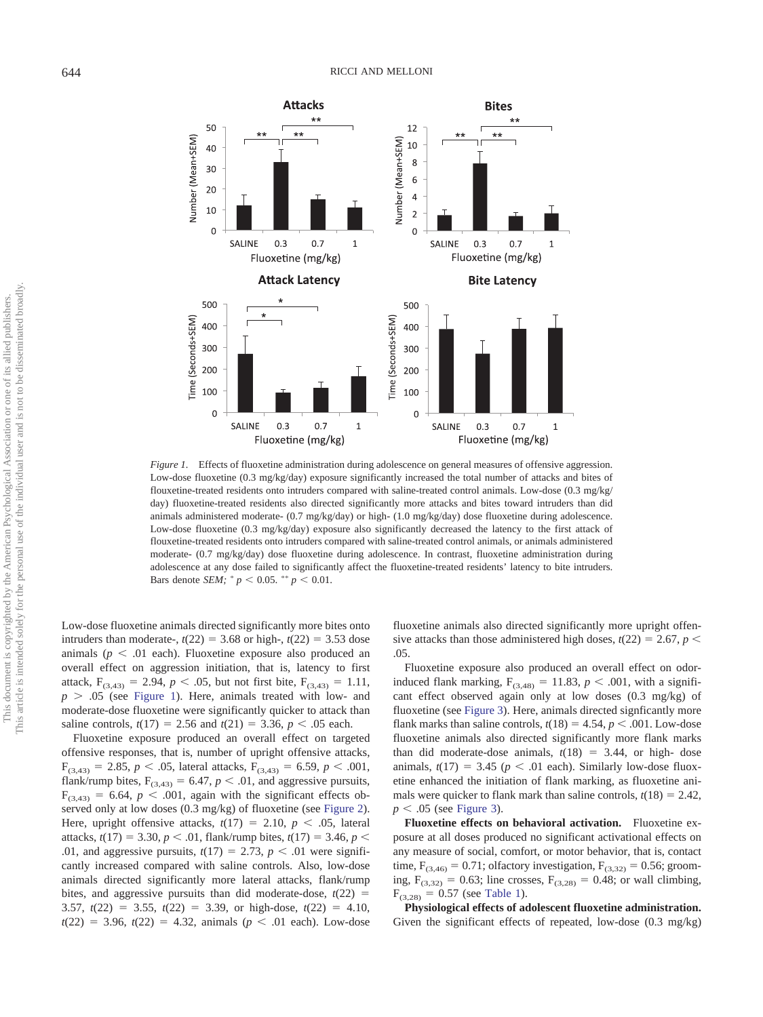

*Figure 1.* Effects of fluoxetine administration during adolescence on general measures of offensive aggression. Low-dose fluoxetine (0.3 mg/kg/day) exposure significantly increased the total number of attacks and bites of flouxetine-treated residents onto intruders compared with saline-treated control animals. Low-dose (0.3 mg/kg/ day) fluoxetine-treated residents also directed significantly more attacks and bites toward intruders than did animals administered moderate- (0.7 mg/kg/day) or high- (1.0 mg/kg/day) dose fluoxetine during adolescence. Low-dose fluoxetine (0.3 mg/kg/day) exposure also significantly decreased the latency to the first attack of flouxetine-treated residents onto intruders compared with saline-treated control animals, or animals administered moderate- (0.7 mg/kg/day) dose fluoxetine during adolescence. In contrast, fluoxetine administration during adolescence at any dose failed to significantly affect the fluoxetine-treated residents' latency to bite intruders. Bars denote *SEM*;  $^{*} p \le 0.05$ .  $^{**} p \le 0.01$ .

Low-dose fluoxetine animals directed significantly more bites onto intruders than moderate-,  $t(22) = 3.68$  or high-,  $t(22) = 3.53$  dose animals  $(p < .01$  each). Fluoxetine exposure also produced an overall effect on aggression initiation, that is, latency to first attack,  $F_{(3,43)} = 2.94$ ,  $p < .05$ , but not first bite,  $F_{(3,43)} = 1.11$ ,  $p > .05$  (see Figure 1). Here, animals treated with low- and moderate-dose fluoxetine were significantly quicker to attack than saline controls,  $t(17) = 2.56$  and  $t(21) = 3.36$ ,  $p < .05$  each.

Fluoxetine exposure produced an overall effect on targeted offensive responses, that is, number of upright offensive attacks,  $F_{(3,43)} = 2.85, p \lt .05$ , lateral attacks,  $F_{(3,43)} = 6.59, p \lt .001$ , flank/rump bites,  $F_{(3,43)} = 6.47$ ,  $p < .01$ , and aggressive pursuits,  $F_{(3,43)} = 6.64$ ,  $p < .001$ , again with the significant effects observed only at low doses (0.3 mg/kg) of fluoxetine (see Figure 2). Here, upright offensive attacks,  $t(17) = 2.10$ ,  $p < .05$ , lateral attacks,  $t(17) = 3.30, p < .01$ , flank/rump bites,  $t(17) = 3.46, p <$ .01, and aggressive pursuits,  $t(17) = 2.73$ ,  $p < .01$  were significantly increased compared with saline controls. Also, low-dose animals directed significantly more lateral attacks, flank/rump bites, and aggressive pursuits than did moderate-dose,  $t(22)$  = 3.57,  $t(22) = 3.55$ ,  $t(22) = 3.39$ , or high-dose,  $t(22) = 4.10$ ,  $t(22) = 3.96, t(22) = 4.32, \text{ animals } (p \lt .01 \text{ each}).$  Low-dose fluoxetine animals also directed significantly more upright offensive attacks than those administered high doses,  $t(22) = 2.67$ ,  $p <$ .05.

Fluoxetine exposure also produced an overall effect on odorinduced flank marking,  $F_{(3,48)} = 11.83$ ,  $p < .001$ , with a significant effect observed again only at low doses (0.3 mg/kg) of fluoxetine (see Figure 3). Here, animals directed signficantly more flank marks than saline controls,  $t(18) = 4.54$ ,  $p < .001$ . Low-dose fluoxetine animals also directed significantly more flank marks than did moderate-dose animals,  $t(18) = 3.44$ , or high-dose animals,  $t(17) = 3.45$  ( $p < .01$  each). Similarly low-dose fluoxetine enhanced the initiation of flank marking, as fluoxetine animals were quicker to flank mark than saline controls,  $t(18) = 2.42$ ,  $p < .05$  (see Figure 3).

**Fluoxetine effects on behavioral activation.** Fluoxetine exposure at all doses produced no significant activational effects on any measure of social, comfort, or motor behavior, that is, contact time,  $F_{(3,46)} = 0.71$ ; olfactory investigation,  $F_{(3,32)} = 0.56$ ; grooming,  $F_{(3,32)} = 0.63$ ; line crosses,  $F_{(3,28)} = 0.48$ ; or wall climbing,  $F_{(3,28)} = 0.57$  (see Table 1).

**Physiological effects of adolescent fluoxetine administration.** Given the significant effects of repeated, low-dose  $(0.3 \text{ mg/kg})$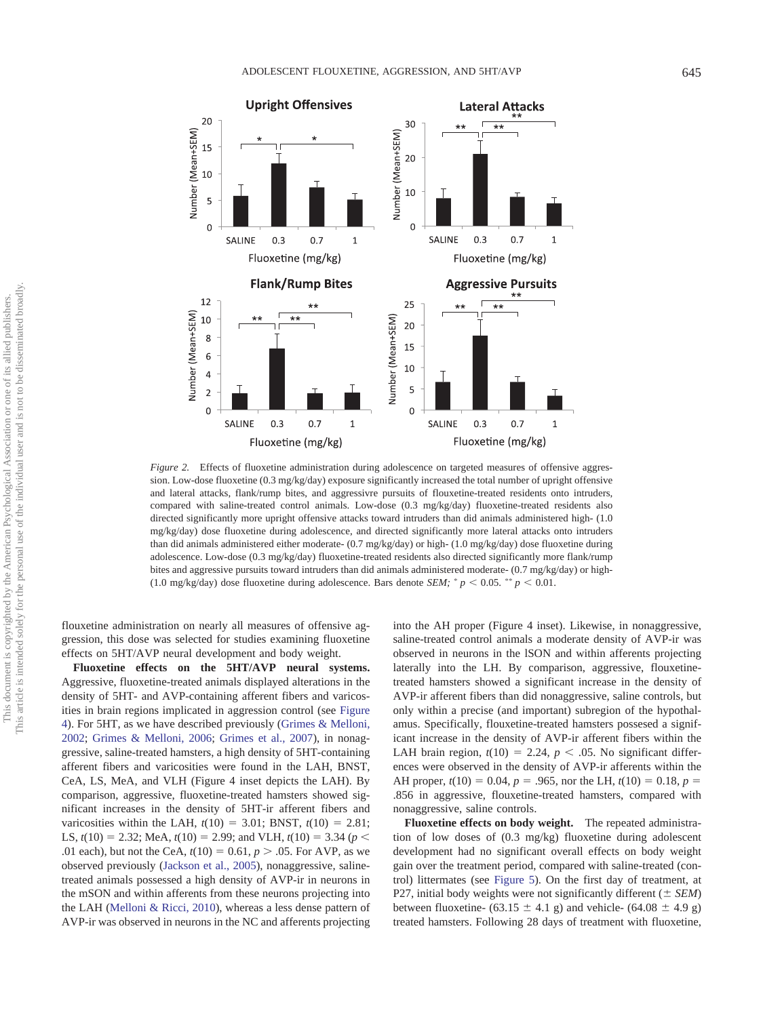

*Figure 2.* Effects of fluoxetine administration during adolescence on targeted measures of offensive aggression. Low-dose fluoxetine (0.3 mg/kg/day) exposure significantly increased the total number of upright offensive and lateral attacks, flank/rump bites, and aggressivre pursuits of flouxetine-treated residents onto intruders, compared with saline-treated control animals. Low-dose (0.3 mg/kg/day) fluoxetine-treated residents also directed significantly more upright offensive attacks toward intruders than did animals administered high-  $(1.0$ mg/kg/day) dose fluoxetine during adolescence, and directed significantly more lateral attacks onto intruders than did animals administered either moderate- (0.7 mg/kg/day) or high- (1.0 mg/kg/day) dose fluoxetine during adolescence. Low-dose (0.3 mg/kg/day) fluoxetine-treated residents also directed significantly more flank/rump bites and aggressive pursuits toward intruders than did animals administered moderate- (0.7 mg/kg/day) or high- (1.0 mg/kg/day) dose fluoxetine during adolescence. Bars denote *SEM*;  $p < 0.05$ .  $\pi p < 0.01$ .

flouxetine administration on nearly all measures of offensive aggression, this dose was selected for studies examining fluoxetine effects on 5HT/AVP neural development and body weight.

**Fluoxetine effects on the 5HT/AVP neural systems.** Aggressive, fluoxetine-treated animals displayed alterations in the density of 5HT- and AVP-containing afferent fibers and varicosities in brain regions implicated in aggression control (see Figure 4). For 5HT, as we have described previously (Grimes & Melloni, 2002; Grimes & Melloni, 2006; Grimes et al., 2007), in nonaggressive, saline-treated hamsters, a high density of 5HT-containing afferent fibers and varicosities were found in the LAH, BNST, CeA, LS, MeA, and VLH (Figure 4 inset depicts the LAH). By comparison, aggressive, fluoxetine-treated hamsters showed significant increases in the density of 5HT-ir afferent fibers and varicosities within the LAH,  $t(10) = 3.01$ ; BNST,  $t(10) = 2.81$ ; LS,  $t(10) = 2.32$ ; MeA,  $t(10) = 2.99$ ; and VLH,  $t(10) = 3.34$  ( $p <$ .01 each), but not the CeA,  $t(10) = 0.61$ ,  $p > .05$ . For AVP, as we observed previously (Jackson et al., 2005), nonaggressive, salinetreated animals possessed a high density of AVP-ir in neurons in the mSON and within afferents from these neurons projecting into the LAH (Melloni & Ricci, 2010), whereas a less dense pattern of AVP-ir was observed in neurons in the NC and afferents projecting into the AH proper (Figure 4 inset). Likewise, in nonaggressive, saline-treated control animals a moderate density of AVP-ir was observed in neurons in the lSON and within afferents projecting laterally into the LH. By comparison, aggressive, flouxetinetreated hamsters showed a significant increase in the density of AVP-ir afferent fibers than did nonaggressive, saline controls, but only within a precise (and important) subregion of the hypothalamus. Specifically, flouxetine-treated hamsters possesed a significant increase in the density of AVP-ir afferent fibers within the LAH brain region,  $t(10) = 2.24$ ,  $p < .05$ . No significant differences were observed in the density of AVP-ir afferents within the AH proper,  $t(10) = 0.04$ ,  $p = .965$ , nor the LH,  $t(10) = 0.18$ ,  $p =$ .856 in aggressive, flouxetine-treated hamsters, compared with nonaggressive, saline controls.

**Fluoxetine effects on body weight.** The repeated administration of low doses of (0.3 mg/kg) fluoxetine during adolescent development had no significant overall effects on body weight gain over the treatment period, compared with saline-treated (control) littermates (see Figure 5). On the first day of treatment, at P27, initial body weights were not significantly different  $(\pm$  *SEM*) between fluoxetine- (63.15  $\pm$  4.1 g) and vehicle- (64.08  $\pm$  4.9 g) treated hamsters. Following 28 days of treatment with fluoxetine,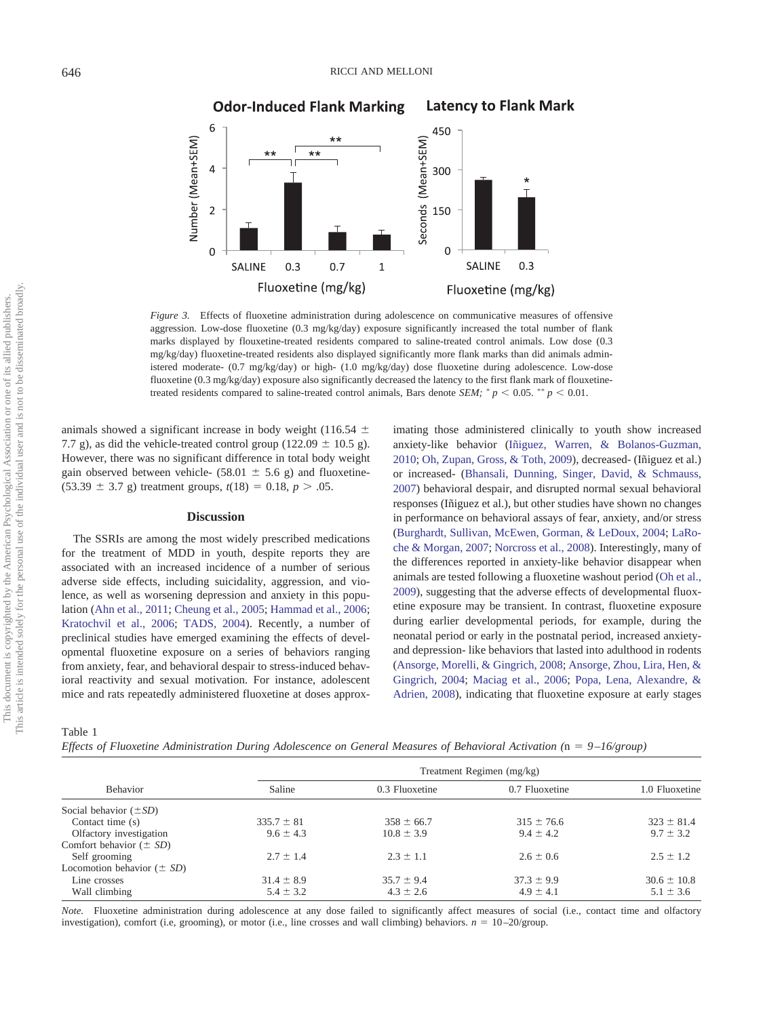

*Figure 3.* Effects of fluoxetine administration during adolescence on communicative measures of offensive aggression. Low-dose fluoxetine (0.3 mg/kg/day) exposure significantly increased the total number of flank marks displayed by flouxetine-treated residents compared to saline-treated control animals. Low dose (0.3 mg/kg/day) fluoxetine-treated residents also displayed significantly more flank marks than did animals administered moderate- (0.7 mg/kg/day) or high- (1.0 mg/kg/day) dose fluoxetine during adolescence. Low-dose fluoxetine (0.3 mg/kg/day) exposure also significantly decreased the latency to the first flank mark of flouxetinetreated residents compared to saline-treated control animals, Bars denote *SEM*;  $p < 0.05$ .  $p \le 0.01$ .

animals showed a significant increase in body weight (116.54  $\pm$ 7.7 g), as did the vehicle-treated control group (122.09  $\pm$  10.5 g). However, there was no significant difference in total body weight gain observed between vehicle- (58.01  $\pm$  5.6 g) and fluoxetine- $(53.39 \pm 3.7 \text{ g})$  treatment groups,  $t(18) = 0.18$ ,  $p > .05$ .

### **Discussion**

The SSRIs are among the most widely prescribed medications for the treatment of MDD in youth, despite reports they are associated with an increased incidence of a number of serious adverse side effects, including suicidality, aggression, and violence, as well as worsening depression and anxiety in this population (Ahn et al., 2011; Cheung et al., 2005; Hammad et al., 2006; Kratochvil et al., 2006; TADS, 2004). Recently, a number of preclinical studies have emerged examining the effects of developmental fluoxetine exposure on a series of behaviors ranging from anxiety, fear, and behavioral despair to stress-induced behavioral reactivity and sexual motivation. For instance, adolescent mice and rats repeatedly administered fluoxetine at doses approx-

imating those administered clinically to youth show increased anxiety-like behavior (Iñiguez, Warren, & Bolanos-Guzman, 2010; Oh, Zupan, Gross, & Toth, 2009), decreased- (Iñiguez et al.) or increased- (Bhansali, Dunning, Singer, David, & Schmauss, 2007) behavioral despair, and disrupted normal sexual behavioral responses (Iñiguez et al.), but other studies have shown no changes in performance on behavioral assays of fear, anxiety, and/or stress (Burghardt, Sullivan, McEwen, Gorman, & LeDoux, 2004; LaRoche & Morgan, 2007; Norcross et al., 2008). Interestingly, many of the differences reported in anxiety-like behavior disappear when animals are tested following a fluoxetine washout period (Oh et al., 2009), suggesting that the adverse effects of developmental fluoxetine exposure may be transient. In contrast, fluoxetine exposure during earlier developmental periods, for example, during the neonatal period or early in the postnatal period, increased anxietyand depression- like behaviors that lasted into adulthood in rodents (Ansorge, Morelli, & Gingrich, 2008; Ansorge, Zhou, Lira, Hen, & Gingrich, 2004; Maciag et al., 2006; Popa, Lena, Alexandre, & Adrien, 2008), indicating that fluoxetine exposure at early stages

Table 1

*Effects of Fluoxetine Administration During Adolescence on General Measures of Behavioral Activation (*n - *9 –16/group)*

| Behavior                       | Treatment Regimen (mg/kg) |                |                |                 |
|--------------------------------|---------------------------|----------------|----------------|-----------------|
|                                | Saline                    | 0.3 Fluoxetine | 0.7 Fluoxetine | 1.0 Fluoxetine  |
| Social behavior $(\pm SD)$     |                           |                |                |                 |
| Contact time (s)               | $335.7 \pm 81$            | $358 \pm 66.7$ | $315 \pm 76.6$ | $323 \pm 81.4$  |
| Olfactory investigation        | $9.6 \pm 4.3$             | $10.8 \pm 3.9$ | $9.4 \pm 4.2$  | $9.7 \pm 3.2$   |
| Comfort behavior $(\pm SD)$    |                           |                |                |                 |
| Self grooming                  | $2.7 \pm 1.4$             | $2.3 \pm 1.1$  | $2.6 \pm 0.6$  | $2.5 \pm 1.2$   |
| Locomotion behavior $(\pm SD)$ |                           |                |                |                 |
| Line crosses                   | $31.4 \pm 8.9$            | $35.7 \pm 9.4$ | $37.3 \pm 9.9$ | $30.6 \pm 10.8$ |
| Wall climbing                  | $5.4 \pm 3.2$             | $4.3 \pm 2.6$  | $4.9 \pm 4.1$  | $5.1 \pm 3.6$   |

*Note.* Fluoxetine administration during adolescence at any dose failed to significantly affect measures of social (i.e., contact time and olfactory investigation), comfort (i.e, grooming), or motor (i.e., line crosses and wall climbing) behaviors.  $n = 10-20$ /group.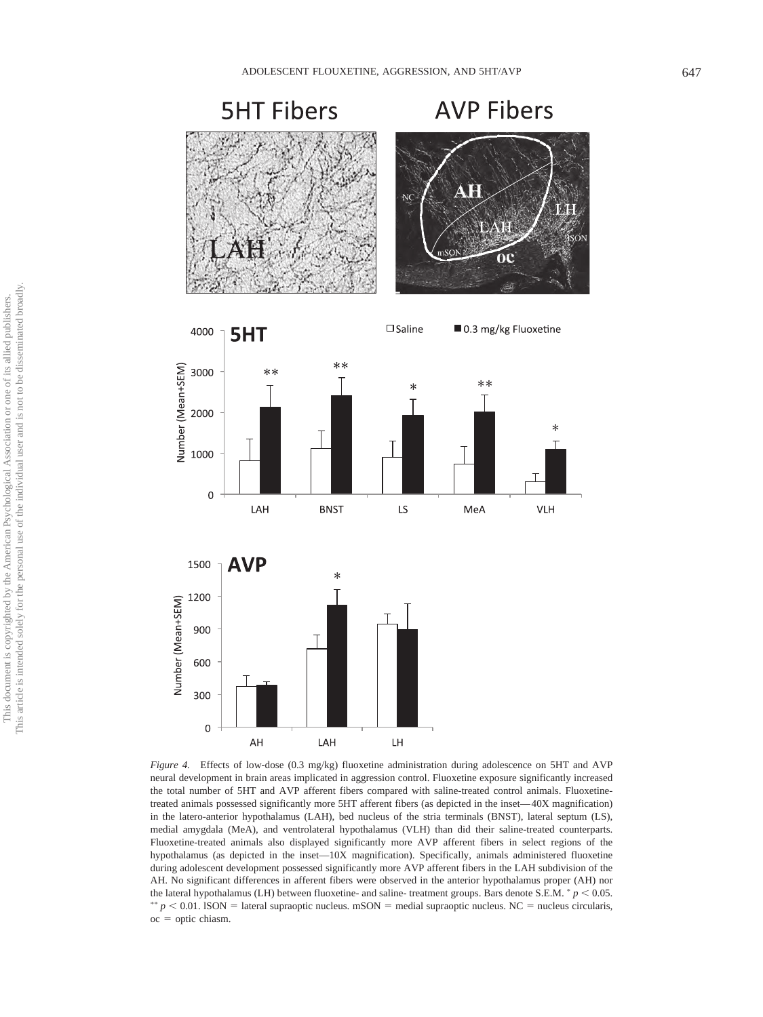



*Figure 4.* Effects of low-dose (0.3 mg/kg) fluoxetine administration during adolescence on 5HT and AVP neural development in brain areas implicated in aggression control. Fluoxetine exposure significantly increased the total number of 5HT and AVP afferent fibers compared with saline-treated control animals. Fluoxetinetreated animals possessed significantly more 5HT afferent fibers (as depicted in the inset— 40X magnification) in the latero-anterior hypothalamus (LAH), bed nucleus of the stria terminals (BNST), lateral septum (LS), medial amygdala (MeA), and ventrolateral hypothalamus (VLH) than did their saline-treated counterparts. Fluoxetine-treated animals also displayed significantly more AVP afferent fibers in select regions of the hypothalamus (as depicted in the inset—10X magnification). Specifically, animals administered fluoxetine during adolescent development possessed significantly more AVP afferent fibers in the LAH subdivision of the AH. No significant differences in afferent fibers were observed in the anterior hypothalamus proper (AH) nor the lateral hypothalamus (LH) between fluoxetine- and saline- treatment groups. Bars denote S.E.M.  $\degree p$  < 0.05.  $p < 0.01$ . ISON = lateral supraoptic nucleus. mSON = medial supraoptic nucleus. NC = nucleus circularis,  $\rm{oc} =$  optic chiasm.

LH

LAH

AH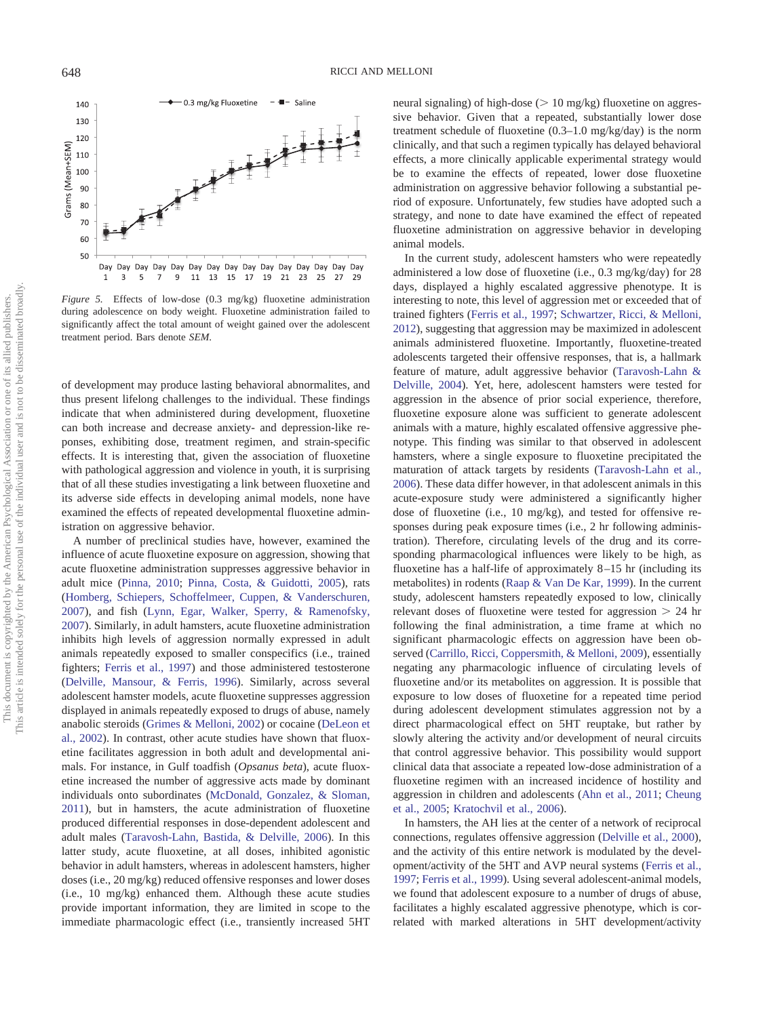- 0.3 mg/kg Fluoxetine  $-$  Saline 140 130 120 Grams (Mean+SEM) 110 100 90 80 70 60 50  $\mathbf{1}$  $\overline{\mathbf{3}}$ 5  $\overline{7}$  $\overline{9}$ 11 13 15 17 19 21 23 25 27 29

*Figure 5.* Effects of low-dose (0.3 mg/kg) fluoxetine administration during adolescence on body weight. Fluoxetine administration failed to significantly affect the total amount of weight gained over the adolescent treatment period. Bars denote *SEM*.

of development may produce lasting behavioral abnormalites, and thus present lifelong challenges to the individual. These findings indicate that when administered during development, fluoxetine can both increase and decrease anxiety- and depression-like reponses, exhibiting dose, treatment regimen, and strain-specific effects. It is interesting that, given the association of fluoxetine with pathological aggression and violence in youth, it is surprising that of all these studies investigating a link between fluoxetine and its adverse side effects in developing animal models, none have examined the effects of repeated developmental fluoxetine administration on aggressive behavior.

A number of preclinical studies have, however, examined the influence of acute fluoxetine exposure on aggression, showing that acute fluoxetine administration suppresses aggressive behavior in adult mice (Pinna, 2010; Pinna, Costa, & Guidotti, 2005), rats (Homberg, Schiepers, Schoffelmeer, Cuppen, & Vanderschuren, 2007), and fish (Lynn, Egar, Walker, Sperry, & Ramenofsky, 2007). Similarly, in adult hamsters, acute fluoxetine administration inhibits high levels of aggression normally expressed in adult animals repeatedly exposed to smaller conspecifics (i.e., trained fighters; Ferris et al., 1997) and those administered testosterone (Delville, Mansour, & Ferris, 1996). Similarly, across several adolescent hamster models, acute fluoxetine suppresses aggression displayed in animals repeatedly exposed to drugs of abuse, namely anabolic steroids (Grimes & Melloni, 2002) or cocaine (DeLeon et al., 2002). In contrast, other acute studies have shown that fluoxetine facilitates aggression in both adult and developmental animals. For instance, in Gulf toadfish (*Opsanus beta*), acute fluoxetine increased the number of aggressive acts made by dominant individuals onto subordinates (McDonald, Gonzalez, & Sloman, 2011), but in hamsters, the acute administration of fluoxetine produced differential responses in dose-dependent adolescent and adult males (Taravosh-Lahn, Bastida, & Delville, 2006). In this latter study, acute fluoxetine, at all doses, inhibited agonistic behavior in adult hamsters, whereas in adolescent hamsters, higher doses (i.e., 20 mg/kg) reduced offensive responses and lower doses (i.e., 10 mg/kg) enhanced them. Although these acute studies provide important information, they are limited in scope to the immediate pharmacologic effect (i.e., transiently increased 5HT neural signaling) of high-dose ( $> 10$  mg/kg) fluoxetine on aggressive behavior. Given that a repeated, substantially lower dose treatment schedule of fluoxetine (0.3–1.0 mg/kg/day) is the norm clinically, and that such a regimen typically has delayed behavioral effects, a more clinically applicable experimental strategy would be to examine the effects of repeated, lower dose fluoxetine administration on aggressive behavior following a substantial period of exposure. Unfortunately, few studies have adopted such a strategy, and none to date have examined the effect of repeated fluoxetine administration on aggressive behavior in developing animal models.

In the current study, adolescent hamsters who were repeatedly administered a low dose of fluoxetine (i.e., 0.3 mg/kg/day) for 28 days, displayed a highly escalated aggressive phenotype. It is interesting to note, this level of aggression met or exceeded that of trained fighters (Ferris et al., 1997; Schwartzer, Ricci, & Melloni, 2012), suggesting that aggression may be maximized in adolescent animals administered fluoxetine. Importantly, fluoxetine-treated adolescents targeted their offensive responses, that is, a hallmark feature of mature, adult aggressive behavior (Taravosh-Lahn & Delville, 2004). Yet, here, adolescent hamsters were tested for aggression in the absence of prior social experience, therefore, fluoxetine exposure alone was sufficient to generate adolescent animals with a mature, highly escalated offensive aggressive phenotype. This finding was similar to that observed in adolescent hamsters, where a single exposure to fluoxetine precipitated the maturation of attack targets by residents (Taravosh-Lahn et al., 2006). These data differ however, in that adolescent animals in this acute-exposure study were administered a significantly higher dose of fluoxetine (i.e., 10 mg/kg), and tested for offensive responses during peak exposure times (i.e., 2 hr following administration). Therefore, circulating levels of the drug and its corresponding pharmacological influences were likely to be high, as fluoxetine has a half-life of approximately 8 –15 hr (including its metabolites) in rodents (Raap & Van De Kar, 1999). In the current study, adolescent hamsters repeatedly exposed to low, clinically relevant doses of fluoxetine were tested for aggression  $> 24$  hr following the final administration, a time frame at which no significant pharmacologic effects on aggression have been observed (Carrillo, Ricci, Coppersmith, & Melloni, 2009), essentially negating any pharmacologic influence of circulating levels of fluoxetine and/or its metabolites on aggression. It is possible that exposure to low doses of fluoxetine for a repeated time period during adolescent development stimulates aggression not by a direct pharmacological effect on 5HT reuptake, but rather by slowly altering the activity and/or development of neural circuits that control aggressive behavior. This possibility would support clinical data that associate a repeated low-dose administration of a fluoxetine regimen with an increased incidence of hostility and aggression in children and adolescents (Ahn et al., 2011; Cheung et al., 2005; Kratochvil et al., 2006).

In hamsters, the AH lies at the center of a network of reciprocal connections, regulates offensive aggression (Delville et al., 2000), and the activity of this entire network is modulated by the development/activity of the 5HT and AVP neural systems (Ferris et al., 1997; Ferris et al., 1999). Using several adolescent-animal models, we found that adolescent exposure to a number of drugs of abuse, facilitates a highly escalated aggressive phenotype, which is correlated with marked alterations in 5HT development/activity

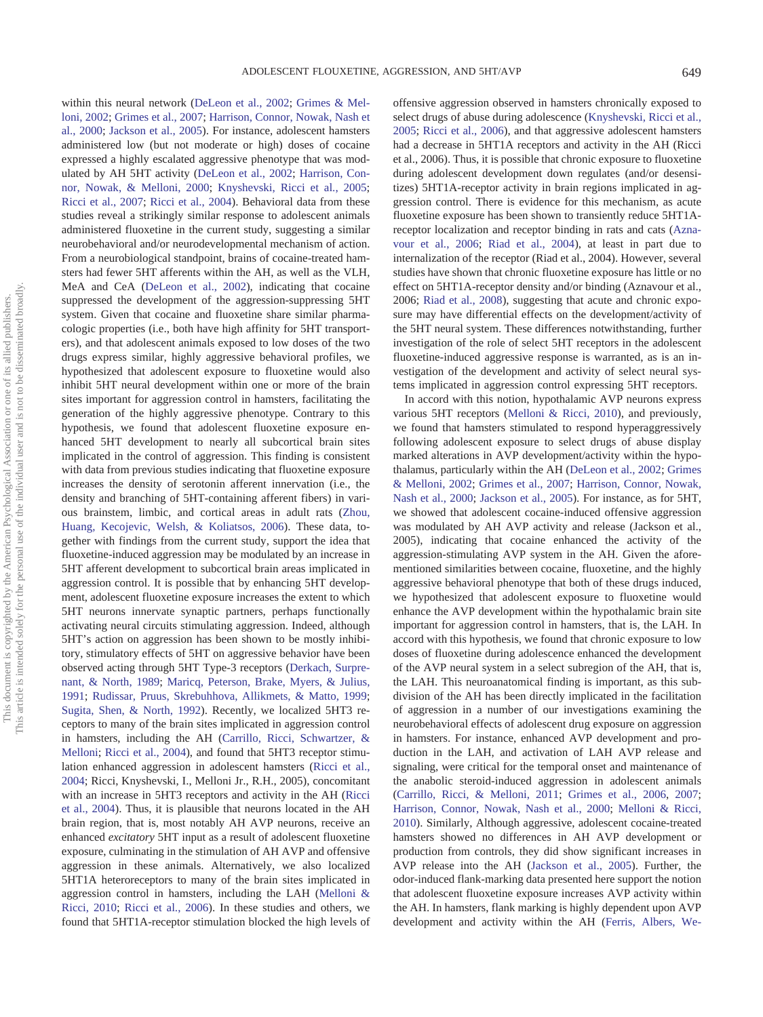within this neural network (DeLeon et al., 2002; Grimes & Melloni, 2002; Grimes et al., 2007; Harrison, Connor, Nowak, Nash et al., 2000; Jackson et al., 2005). For instance, adolescent hamsters administered low (but not moderate or high) doses of cocaine expressed a highly escalated aggressive phenotype that was modulated by AH 5HT activity (DeLeon et al., 2002; Harrison, Connor, Nowak, & Melloni, 2000; Knyshevski, Ricci et al., 2005; Ricci et al., 2007; Ricci et al., 2004). Behavioral data from these studies reveal a strikingly similar response to adolescent animals administered fluoxetine in the current study, suggesting a similar neurobehavioral and/or neurodevelopmental mechanism of action. From a neurobiological standpoint, brains of cocaine-treated hamsters had fewer 5HT afferents within the AH, as well as the VLH, MeA and CeA (DeLeon et al., 2002), indicating that cocaine suppressed the development of the aggression-suppressing 5HT system. Given that cocaine and fluoxetine share similar pharmacologic properties (i.e., both have high affinity for 5HT transporters), and that adolescent animals exposed to low doses of the two drugs express similar, highly aggressive behavioral profiles, we hypothesized that adolescent exposure to fluoxetine would also inhibit 5HT neural development within one or more of the brain sites important for aggression control in hamsters, facilitating the generation of the highly aggressive phenotype. Contrary to this hypothesis, we found that adolescent fluoxetine exposure enhanced 5HT development to nearly all subcortical brain sites implicated in the control of aggression. This finding is consistent with data from previous studies indicating that fluoxetine exposure increases the density of serotonin afferent innervation (i.e., the density and branching of 5HT-containing afferent fibers) in various brainstem, limbic, and cortical areas in adult rats (Zhou, Huang, Kecojevic, Welsh, & Koliatsos, 2006). These data, together with findings from the current study, support the idea that fluoxetine-induced aggression may be modulated by an increase in 5HT afferent development to subcortical brain areas implicated in aggression control. It is possible that by enhancing 5HT development, adolescent fluoxetine exposure increases the extent to which 5HT neurons innervate synaptic partners, perhaps functionally activating neural circuits stimulating aggression. Indeed, although 5HT's action on aggression has been shown to be mostly inhibitory, stimulatory effects of 5HT on aggressive behavior have been observed acting through 5HT Type-3 receptors (Derkach, Surprenant, & North, 1989; Maricq, Peterson, Brake, Myers, & Julius, 1991; Rudissar, Pruus, Skrebuhhova, Allikmets, & Matto, 1999; Sugita, Shen, & North, 1992). Recently, we localized 5HT3 receptors to many of the brain sites implicated in aggression control in hamsters, including the AH (Carrillo, Ricci, Schwartzer, & Melloni; Ricci et al., 2004), and found that 5HT3 receptor stimulation enhanced aggression in adolescent hamsters (Ricci et al., 2004; Ricci, Knyshevski, I., Melloni Jr., R.H., 2005), concomitant with an increase in 5HT3 receptors and activity in the AH (Ricci et al., 2004). Thus, it is plausible that neurons located in the AH brain region, that is, most notably AH AVP neurons, receive an enhanced *excitatory* 5HT input as a result of adolescent fluoxetine exposure, culminating in the stimulation of AH AVP and offensive aggression in these animals. Alternatively, we also localized 5HT1A heteroreceptors to many of the brain sites implicated in aggression control in hamsters, including the LAH (Melloni & Ricci, 2010; Ricci et al., 2006). In these studies and others, we found that 5HT1A-receptor stimulation blocked the high levels of offensive aggression observed in hamsters chronically exposed to select drugs of abuse during adolescence (Knyshevski, Ricci et al., 2005; Ricci et al., 2006), and that aggressive adolescent hamsters had a decrease in 5HT1A receptors and activity in the AH (Ricci et al., 2006). Thus, it is possible that chronic exposure to fluoxetine during adolescent development down regulates (and/or desensitizes) 5HT1A-receptor activity in brain regions implicated in aggression control. There is evidence for this mechanism, as acute fluoxetine exposure has been shown to transiently reduce 5HT1Areceptor localization and receptor binding in rats and cats (Aznavour et al., 2006; Riad et al., 2004), at least in part due to internalization of the receptor (Riad et al., 2004). However, several studies have shown that chronic fluoxetine exposure has little or no effect on 5HT1A-receptor density and/or binding (Aznavour et al., 2006; Riad et al., 2008), suggesting that acute and chronic exposure may have differential effects on the development/activity of the 5HT neural system. These differences notwithstanding, further investigation of the role of select 5HT receptors in the adolescent

fluoxetine-induced aggressive response is warranted, as is an investigation of the development and activity of select neural sys-

tems implicated in aggression control expressing 5HT receptors. In accord with this notion, hypothalamic AVP neurons express various 5HT receptors (Melloni & Ricci, 2010), and previously, we found that hamsters stimulated to respond hyperaggressively following adolescent exposure to select drugs of abuse display marked alterations in AVP development/activity within the hypothalamus, particularly within the AH (DeLeon et al., 2002; Grimes & Melloni, 2002; Grimes et al., 2007; Harrison, Connor, Nowak, Nash et al., 2000; Jackson et al., 2005). For instance, as for 5HT, we showed that adolescent cocaine-induced offensive aggression was modulated by AH AVP activity and release (Jackson et al., 2005), indicating that cocaine enhanced the activity of the aggression-stimulating AVP system in the AH. Given the aforementioned similarities between cocaine, fluoxetine, and the highly aggressive behavioral phenotype that both of these drugs induced, we hypothesized that adolescent exposure to fluoxetine would enhance the AVP development within the hypothalamic brain site important for aggression control in hamsters, that is, the LAH. In accord with this hypothesis, we found that chronic exposure to low doses of fluoxetine during adolescence enhanced the development of the AVP neural system in a select subregion of the AH, that is, the LAH. This neuroanatomical finding is important, as this subdivision of the AH has been directly implicated in the facilitation of aggression in a number of our investigations examining the neurobehavioral effects of adolescent drug exposure on aggression in hamsters. For instance, enhanced AVP development and production in the LAH, and activation of LAH AVP release and signaling, were critical for the temporal onset and maintenance of the anabolic steroid-induced aggression in adolescent animals (Carrillo, Ricci, & Melloni, 2011; Grimes et al., 2006, 2007; Harrison, Connor, Nowak, Nash et al., 2000; Melloni & Ricci, 2010). Similarly, Although aggressive, adolescent cocaine-treated hamsters showed no differences in AH AVP development or production from controls, they did show significant increases in AVP release into the AH (Jackson et al., 2005). Further, the odor-induced flank-marking data presented here support the notion that adolescent fluoxetine exposure increases AVP activity within the AH. In hamsters, flank marking is highly dependent upon AVP development and activity within the AH (Ferris, Albers, We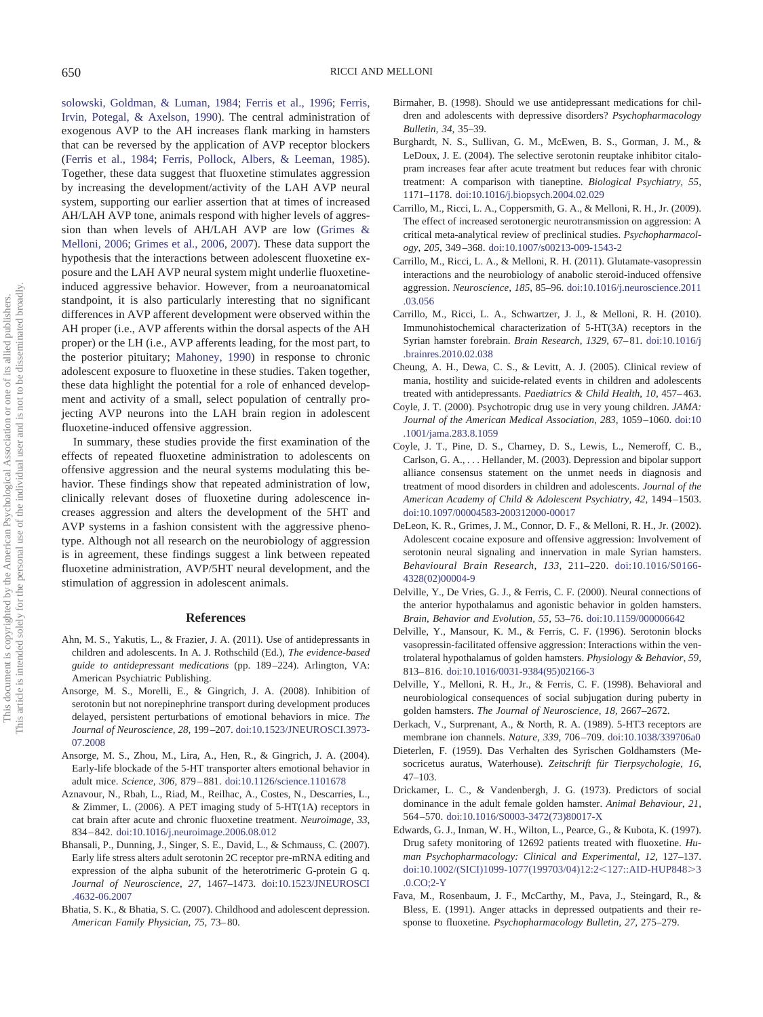solowski, Goldman, & Luman, 1984; Ferris et al., 1996; Ferris, Irvin, Potegal, & Axelson, 1990). The central administration of exogenous AVP to the AH increases flank marking in hamsters that can be reversed by the application of AVP receptor blockers (Ferris et al., 1984; Ferris, Pollock, Albers, & Leeman, 1985). Together, these data suggest that fluoxetine stimulates aggression by increasing the development/activity of the LAH AVP neural system, supporting our earlier assertion that at times of increased AH/LAH AVP tone, animals respond with higher levels of aggression than when levels of AH/LAH AVP are low (Grimes & Melloni, 2006; Grimes et al., 2006, 2007). These data support the hypothesis that the interactions between adolescent fluoxetine exposure and the LAH AVP neural system might underlie fluoxetineinduced aggressive behavior. However, from a neuroanatomical standpoint, it is also particularly interesting that no significant differences in AVP afferent development were observed within the AH proper (i.e., AVP afferents within the dorsal aspects of the AH proper) or the LH (i.e., AVP afferents leading, for the most part, to the posterior pituitary; Mahoney, 1990) in response to chronic adolescent exposure to fluoxetine in these studies. Taken together, these data highlight the potential for a role of enhanced development and activity of a small, select population of centrally projecting AVP neurons into the LAH brain region in adolescent fluoxetine-induced offensive aggression.

In summary, these studies provide the first examination of the effects of repeated fluoxetine administration to adolescents on offensive aggression and the neural systems modulating this behavior. These findings show that repeated administration of low, clinically relevant doses of fluoxetine during adolescence increases aggression and alters the development of the 5HT and AVP systems in a fashion consistent with the aggressive phenotype. Although not all research on the neurobiology of aggression is in agreement, these findings suggest a link between repeated fluoxetine administration, AVP/5HT neural development, and the stimulation of aggression in adolescent animals.

#### **References**

- Ahn, M. S., Yakutis, L., & Frazier, J. A. (2011). Use of antidepressants in children and adolescents. In A. J. Rothschild (Ed.), *The evidence-based guide to antidepressant medications* (pp. 189 –224). Arlington, VA: American Psychiatric Publishing.
- Ansorge, M. S., Morelli, E., & Gingrich, J. A. (2008). Inhibition of serotonin but not norepinephrine transport during development produces delayed, persistent perturbations of emotional behaviors in mice. *The Journal of Neuroscience, 28,* 199 –207. doi:10.1523/JNEUROSCI.3973- 07.2008
- Ansorge, M. S., Zhou, M., Lira, A., Hen, R., & Gingrich, J. A. (2004). Early-life blockade of the 5-HT transporter alters emotional behavior in adult mice. *Science, 306,* 879 – 881. doi:10.1126/science.1101678
- Aznavour, N., Rbah, L., Riad, M., Reilhac, A., Costes, N., Descarries, L., & Zimmer, L. (2006). A PET imaging study of 5-HT(1A) receptors in cat brain after acute and chronic fluoxetine treatment. *Neuroimage, 33,* 834 – 842. doi:10.1016/j.neuroimage.2006.08.012
- Bhansali, P., Dunning, J., Singer, S. E., David, L., & Schmauss, C. (2007). Early life stress alters adult serotonin 2C receptor pre-mRNA editing and expression of the alpha subunit of the heterotrimeric G-protein G q. *Journal of Neuroscience, 27,* 1467–1473. doi:10.1523/JNEUROSCI .4632-06.2007
- Bhatia, S. K., & Bhatia, S. C. (2007). Childhood and adolescent depression. *American Family Physician, 75,* 73– 80.
- Birmaher, B. (1998). Should we use antidepressant medications for children and adolescents with depressive disorders? *Psychopharmacology Bulletin, 34,* 35–39.
- Burghardt, N. S., Sullivan, G. M., McEwen, B. S., Gorman, J. M., & LeDoux, J. E. (2004). The selective serotonin reuptake inhibitor citalopram increases fear after acute treatment but reduces fear with chronic treatment: A comparison with tianeptine. *Biological Psychiatry, 55,* 1171–1178. doi:10.1016/j.biopsych.2004.02.029
- Carrillo, M., Ricci, L. A., Coppersmith, G. A., & Melloni, R. H., Jr. (2009). The effect of increased serotonergic neurotransmission on aggression: A critical meta-analytical review of preclinical studies. *Psychopharmacology, 205,* 349 –368. doi:10.1007/s00213-009-1543-2
- Carrillo, M., Ricci, L. A., & Melloni, R. H. (2011). Glutamate-vasopressin interactions and the neurobiology of anabolic steroid-induced offensive aggression. *Neuroscience, 185,* 85–96. doi:10.1016/j.neuroscience.2011 .03.056
- Carrillo, M., Ricci, L. A., Schwartzer, J. J., & Melloni, R. H. (2010). Immunohistochemical characterization of 5-HT(3A) receptors in the Syrian hamster forebrain. *Brain Research, 1329,* 67– 81. doi:10.1016/j .brainres.2010.02.038
- Cheung, A. H., Dewa, C. S., & Levitt, A. J. (2005). Clinical review of mania, hostility and suicide-related events in children and adolescents treated with antidepressants. *Paediatrics & Child Health*, 10, 457-463.
- Coyle, J. T. (2000). Psychotropic drug use in very young children. *JAMA: Journal of the American Medical Association, 283,* 1059 –1060. doi:10 .1001/jama.283.8.1059
- Coyle, J. T., Pine, D. S., Charney, D. S., Lewis, L., Nemeroff, C. B., Carlson, G. A.,... Hellander, M. (2003). Depression and bipolar support alliance consensus statement on the unmet needs in diagnosis and treatment of mood disorders in children and adolescents. *Journal of the American Academy of Child & Adolescent Psychiatry, 42,* 1494 –1503. doi:10.1097/00004583-200312000-00017
- DeLeon, K. R., Grimes, J. M., Connor, D. F., & Melloni, R. H., Jr. (2002). Adolescent cocaine exposure and offensive aggression: Involvement of serotonin neural signaling and innervation in male Syrian hamsters. *Behavioural Brain Research, 133,* 211–220. doi:10.1016/S0166- 4328(02)00004-9
- Delville, Y., De Vries, G. J., & Ferris, C. F. (2000). Neural connections of the anterior hypothalamus and agonistic behavior in golden hamsters. *Brain, Behavior and Evolution, 55,* 53–76. doi:10.1159/000006642
- Delville, Y., Mansour, K. M., & Ferris, C. F. (1996). Serotonin blocks vasopressin-facilitated offensive aggression: Interactions within the ventrolateral hypothalamus of golden hamsters. *Physiology & Behavior, 59,* 813– 816. doi:10.1016/0031-9384(95)02166-3
- Delville, Y., Melloni, R. H., Jr., & Ferris, C. F. (1998). Behavioral and neurobiological consequences of social subjugation during puberty in golden hamsters. *The Journal of Neuroscience, 18,* 2667–2672.
- Derkach, V., Surprenant, A., & North, R. A. (1989). 5-HT3 receptors are membrane ion channels. *Nature, 339,* 706 –709. doi:10.1038/339706a0
- Dieterlen, F. (1959). Das Verhalten des Syrischen Goldhamsters (Mesocricetus auratus, Waterhouse). *Zeitschrift für Tierpsychologie, 16,* 47–103.
- Drickamer, L. C., & Vandenbergh, J. G. (1973). Predictors of social dominance in the adult female golden hamster. *Animal Behaviour, 21,* 564 –570. doi:10.1016/S0003-3472(73)80017-X
- Edwards, G. J., Inman, W. H., Wilton, L., Pearce, G., & Kubota, K. (1997). Drug safety monitoring of 12692 patients treated with fluoxetine. *Human Psychopharmacology: Clinical and Experimental, 12,* 127–137. doi:10.1002/(SICI)1099-1077(199703/04)12:2<127::AID-HUP848>3 .0.CO;2-Y
- Fava, M., Rosenbaum, J. F., McCarthy, M., Pava, J., Steingard, R., & Bless, E. (1991). Anger attacks in depressed outpatients and their response to fluoxetine. *Psychopharmacology Bulletin, 27,* 275–279.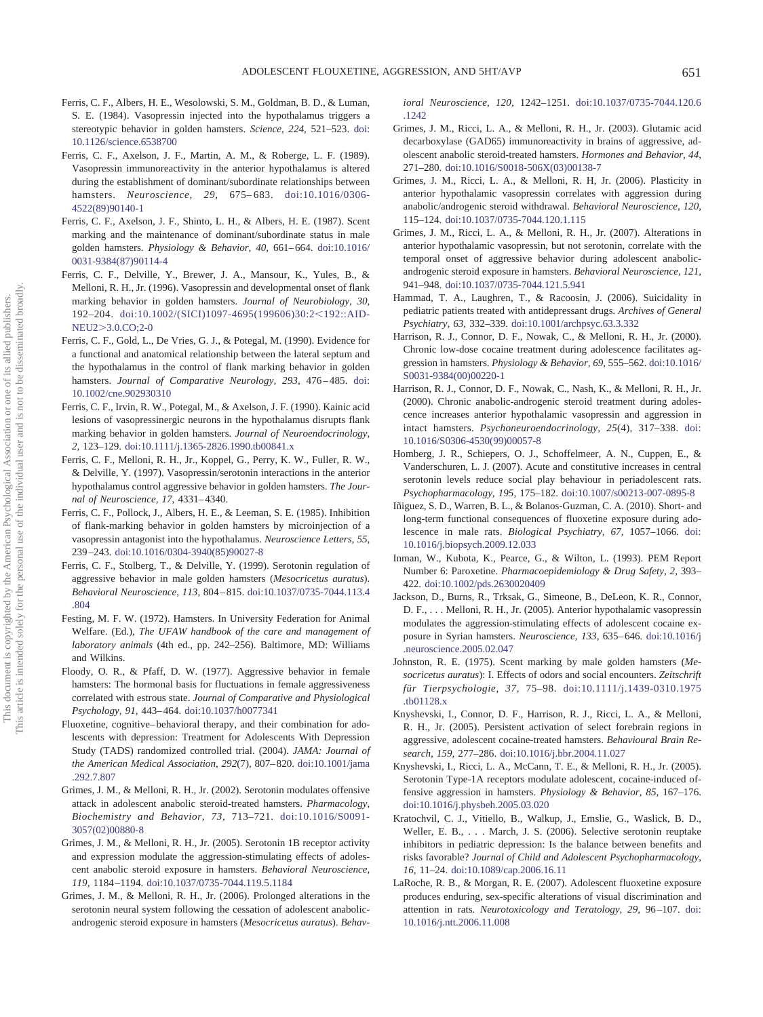- Ferris, C. F., Albers, H. E., Wesolowski, S. M., Goldman, B. D., & Luman, S. E. (1984). Vasopressin injected into the hypothalamus triggers a stereotypic behavior in golden hamsters. *Science, 224,* 521–523. doi: 10.1126/science.6538700
- Ferris, C. F., Axelson, J. F., Martin, A. M., & Roberge, L. F. (1989). Vasopressin immunoreactivity in the anterior hypothalamus is altered during the establishment of dominant/subordinate relationships between hamsters. *Neuroscience, 29,* 675– 683. doi:10.1016/0306- 4522(89)90140-1
- Ferris, C. F., Axelson, J. F., Shinto, L. H., & Albers, H. E. (1987). Scent marking and the maintenance of dominant/subordinate status in male golden hamsters. *Physiology & Behavior, 40,* 661– 664. doi:10.1016/ 0031-9384(87)90114-4
- Ferris, C. F., Delville, Y., Brewer, J. A., Mansour, K., Yules, B., & Melloni, R. H., Jr. (1996). Vasopressin and developmental onset of flank marking behavior in golden hamsters. *Journal of Neurobiology, 30,* 192–204. doi:10.1002/(SICI)1097-4695(199606)30:2<192::AID-NEU23.0.CO;2-0
- Ferris, C. F., Gold, L., De Vries, G. J., & Potegal, M. (1990). Evidence for a functional and anatomical relationship between the lateral septum and the hypothalamus in the control of flank marking behavior in golden hamsters. *Journal of Comparative Neurology, 293, 476-485*. doi: 10.1002/cne.902930310
- Ferris, C. F., Irvin, R. W., Potegal, M., & Axelson, J. F. (1990). Kainic acid lesions of vasopressinergic neurons in the hypothalamus disrupts flank marking behavior in golden hamsters. *Journal of Neuroendocrinology, 2,* 123–129. doi:10.1111/j.1365-2826.1990.tb00841.x
- Ferris, C. F., Melloni, R. H., Jr., Koppel, G., Perry, K. W., Fuller, R. W., & Delville, Y. (1997). Vasopressin/serotonin interactions in the anterior hypothalamus control aggressive behavior in golden hamsters. *The Journal of Neuroscience, 17,* 4331– 4340.
- Ferris, C. F., Pollock, J., Albers, H. E., & Leeman, S. E. (1985). Inhibition of flank-marking behavior in golden hamsters by microinjection of a vasopressin antagonist into the hypothalamus. *Neuroscience Letters, 55,* 239 –243. doi:10.1016/0304-3940(85)90027-8
- Ferris, C. F., Stolberg, T., & Delville, Y. (1999). Serotonin regulation of aggressive behavior in male golden hamsters (*Mesocricetus auratus*). *Behavioral Neuroscience, 113,* 804 – 815. doi:10.1037/0735-7044.113.4 .804
- Festing, M. F. W. (1972). Hamsters. In University Federation for Animal Welfare. (Ed.), *The UFAW handbook of the care and management of laboratory animals* (4th ed., pp. 242–256). Baltimore, MD: Williams and Wilkins.
- Floody, O. R., & Pfaff, D. W. (1977). Aggressive behavior in female hamsters: The hormonal basis for fluctuations in female aggressiveness correlated with estrous state. *Journal of Comparative and Physiological Psychology, 91,* 443– 464. doi:10.1037/h0077341
- Fluoxetine, cognitive– behavioral therapy, and their combination for adolescents with depression: Treatment for Adolescents With Depression Study (TADS) randomized controlled trial. (2004). *JAMA: Journal of the American Medical Association, 292*(7), 807– 820. doi:10.1001/jama .292.7.807
- Grimes, J. M., & Melloni, R. H., Jr. (2002). Serotonin modulates offensive attack in adolescent anabolic steroid-treated hamsters. *Pharmacology, Biochemistry and Behavior, 73,* 713–721. doi:10.1016/S0091- 3057(02)00880-8
- Grimes, J. M., & Melloni, R. H., Jr. (2005). Serotonin 1B receptor activity and expression modulate the aggression-stimulating effects of adolescent anabolic steroid exposure in hamsters. *Behavioral Neuroscience, 119,* 1184 –1194. doi:10.1037/0735-7044.119.5.1184
- Grimes, J. M., & Melloni, R. H., Jr. (2006). Prolonged alterations in the serotonin neural system following the cessation of adolescent anabolicandrogenic steroid exposure in hamsters (*Mesocricetus auratus*). *Behav-*

*ioral Neuroscience, 120,* 1242–1251. doi:10.1037/0735-7044.120.6 .1242

- Grimes, J. M., Ricci, L. A., & Melloni, R. H., Jr. (2003). Glutamic acid decarboxylase (GAD65) immunoreactivity in brains of aggressive, adolescent anabolic steroid-treated hamsters. *Hormones and Behavior, 44,* 271–280. doi:10.1016/S0018-506X(03)00138-7
- Grimes, J. M., Ricci, L. A., & Melloni, R. H, Jr. (2006). Plasticity in anterior hypothalamic vasopressin correlates with aggression during anabolic/androgenic steroid withdrawal. *Behavioral Neuroscience, 120,* 115–124. doi:10.1037/0735-7044.120.1.115
- Grimes, J. M., Ricci, L. A., & Melloni, R. H., Jr. (2007). Alterations in anterior hypothalamic vasopressin, but not serotonin, correlate with the temporal onset of aggressive behavior during adolescent anabolicandrogenic steroid exposure in hamsters. *Behavioral Neuroscience, 121,* 941–948. doi:10.1037/0735-7044.121.5.941
- Hammad, T. A., Laughren, T., & Racoosin, J. (2006). Suicidality in pediatric patients treated with antidepressant drugs. *Archives of General Psychiatry, 63,* 332–339. doi:10.1001/archpsyc.63.3.332
- Harrison, R. J., Connor, D. F., Nowak, C., & Melloni, R. H., Jr. (2000). Chronic low-dose cocaine treatment during adolescence facilitates aggression in hamsters. *Physiology & Behavior, 69,* 555–562. doi:10.1016/ S0031-9384(00)00220-1
- Harrison, R. J., Connor, D. F., Nowak, C., Nash, K., & Melloni, R. H., Jr. (2000). Chronic anabolic-androgenic steroid treatment during adolescence increases anterior hypothalamic vasopressin and aggression in intact hamsters. *Psychoneuroendocrinology, 25*(4), 317–338. doi: 10.1016/S0306-4530(99)00057-8
- Homberg, J. R., Schiepers, O. J., Schoffelmeer, A. N., Cuppen, E., & Vanderschuren, L. J. (2007). Acute and constitutive increases in central serotonin levels reduce social play behaviour in periadolescent rats. *Psychopharmacology, 195,* 175–182. doi:10.1007/s00213-007-0895-8
- Iñiguez, S. D., Warren, B. L., & Bolanos-Guzman, C. A. (2010). Short- and long-term functional consequences of fluoxetine exposure during adolescence in male rats. *Biological Psychiatry, 67,* 1057–1066. doi: 10.1016/j.biopsych.2009.12.033
- Inman, W., Kubota, K., Pearce, G., & Wilton, L. (1993). PEM Report Number 6: Paroxetine. *Pharmacoepidemiology & Drug Safety, 2,* 393– 422. doi:10.1002/pds.2630020409
- Jackson, D., Burns, R., Trksak, G., Simeone, B., DeLeon, K. R., Connor, D. F., . . . Melloni, R. H., Jr. (2005). Anterior hypothalamic vasopressin modulates the aggression-stimulating effects of adolescent cocaine exposure in Syrian hamsters. *Neuroscience, 133,* 635– 646. doi:10.1016/j .neuroscience.2005.02.047
- Johnston, R. E. (1975). Scent marking by male golden hamsters (*Mesocricetus auratus*): I. Effects of odors and social encounters. *Zeitschrift für Tierpsychologie, 37,* 75–98. doi:10.1111/j.1439-0310.1975 .tb01128.x
- Knyshevski, I., Connor, D. F., Harrison, R. J., Ricci, L. A., & Melloni, R. H., Jr. (2005). Persistent activation of select forebrain regions in aggressive, adolescent cocaine-treated hamsters. *Behavioural Brain Research, 159,* 277–286. doi:10.1016/j.bbr.2004.11.027
- Knyshevski, I., Ricci, L. A., McCann, T. E., & Melloni, R. H., Jr. (2005). Serotonin Type-1A receptors modulate adolescent, cocaine-induced offensive aggression in hamsters. *Physiology & Behavior, 85,* 167–176. doi:10.1016/j.physbeh.2005.03.020
- Kratochvil, C. J., Vitiello, B., Walkup, J., Emslie, G., Waslick, B. D., Weller, E. B., . . . March, J. S. (2006). Selective serotonin reuptake inhibitors in pediatric depression: Is the balance between benefits and risks favorable? *Journal of Child and Adolescent Psychopharmacology, 16,* 11–24. doi:10.1089/cap.2006.16.11
- LaRoche, R. B., & Morgan, R. E. (2007). Adolescent fluoxetine exposure produces enduring, sex-specific alterations of visual discrimination and attention in rats. *Neurotoxicology and Teratology, 29,* 96 –107. doi: 10.1016/j.ntt.2006.11.008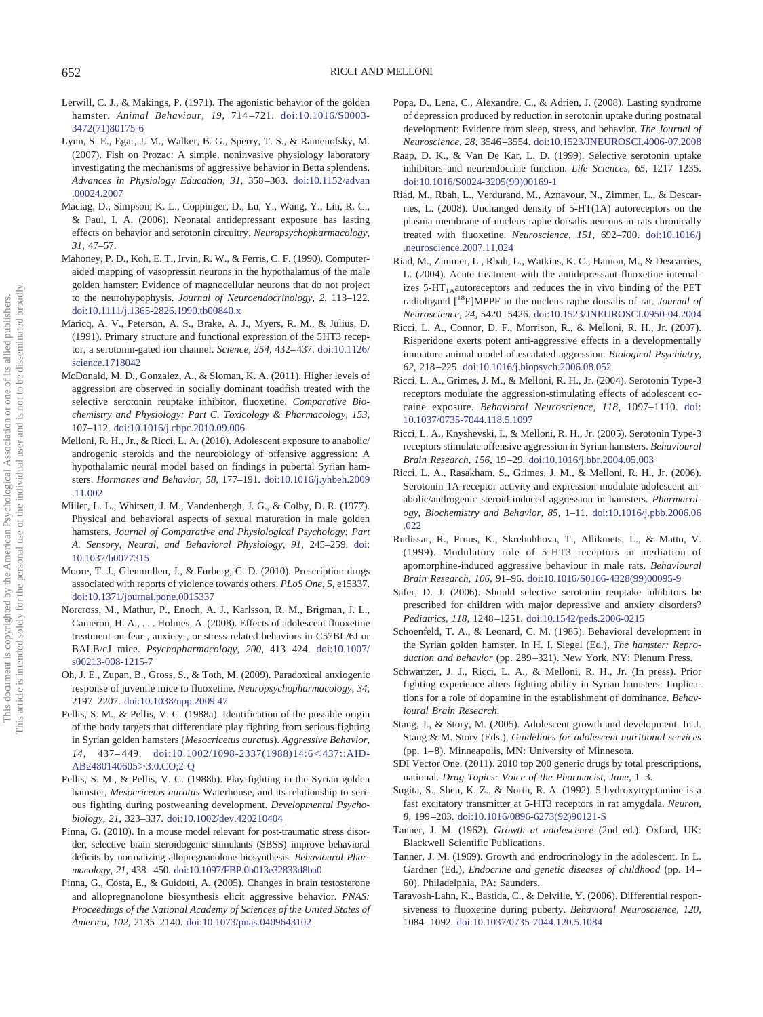- Lerwill, C. J., & Makings, P. (1971). The agonistic behavior of the golden hamster. *Animal Behaviour, 19,* 714 –721. doi:10.1016/S0003- 3472(71)80175-6
- Lynn, S. E., Egar, J. M., Walker, B. G., Sperry, T. S., & Ramenofsky, M. (2007). Fish on Prozac: A simple, noninvasive physiology laboratory investigating the mechanisms of aggressive behavior in Betta splendens. *Advances in Physiology Education, 31,* 358 –363. doi:10.1152/advan .00024.2007
- Maciag, D., Simpson, K. L., Coppinger, D., Lu, Y., Wang, Y., Lin, R. C., & Paul, I. A. (2006). Neonatal antidepressant exposure has lasting effects on behavior and serotonin circuitry. *Neuropsychopharmacology, 31,* 47–57.
- Mahoney, P. D., Koh, E. T., Irvin, R. W., & Ferris, C. F. (1990). Computeraided mapping of vasopressin neurons in the hypothalamus of the male golden hamster: Evidence of magnocellular neurons that do not project to the neurohypophysis. *Journal of Neuroendocrinology, 2,* 113–122. doi:10.1111/j.1365-2826.1990.tb00840.x
- Maricq, A. V., Peterson, A. S., Brake, A. J., Myers, R. M., & Julius, D. (1991). Primary structure and functional expression of the 5HT3 receptor, a serotonin-gated ion channel. *Science, 254,* 432– 437. doi:10.1126/ science.1718042
- McDonald, M. D., Gonzalez, A., & Sloman, K. A. (2011). Higher levels of aggression are observed in socially dominant toadfish treated with the selective serotonin reuptake inhibitor, fluoxetine. *Comparative Biochemistry and Physiology: Part C. Toxicology & Pharmacology, 153,* 107–112. doi:10.1016/j.cbpc.2010.09.006
- Melloni, R. H., Jr., & Ricci, L. A. (2010). Adolescent exposure to anabolic/ androgenic steroids and the neurobiology of offensive aggression: A hypothalamic neural model based on findings in pubertal Syrian hamsters. *Hormones and Behavior, 58,* 177–191. doi:10.1016/j.yhbeh.2009 .11.002
- Miller, L. L., Whitsett, J. M., Vandenbergh, J. G., & Colby, D. R. (1977). Physical and behavioral aspects of sexual maturation in male golden hamsters. *Journal of Comparative and Physiological Psychology: Part A. Sensory, Neural, and Behavioral Physiology, 91,* 245–259. doi: 10.1037/h0077315
- Moore, T. J., Glenmullen, J., & Furberg, C. D. (2010). Prescription drugs associated with reports of violence towards others. *PLoS One, 5,* e15337. doi:10.1371/journal.pone.0015337
- Norcross, M., Mathur, P., Enoch, A. J., Karlsson, R. M., Brigman, J. L., Cameron, H. A.,... Holmes, A. (2008). Effects of adolescent fluoxetine treatment on fear-, anxiety-, or stress-related behaviors in C57BL/6J or BALB/cJ mice. *Psychopharmacology, 200,* 413– 424. doi:10.1007/ s00213-008-1215-7
- Oh, J. E., Zupan, B., Gross, S., & Toth, M. (2009). Paradoxical anxiogenic response of juvenile mice to fluoxetine. *Neuropsychopharmacology, 34,* 2197–2207. doi:10.1038/npp.2009.47
- Pellis, S. M., & Pellis, V. C. (1988a). Identification of the possible origin of the body targets that differentiate play fighting from serious fighting in Syrian golden hamsters (*Mesocricetus auratus*). *Aggressive Behavior,* 14, 437-449. doi:10.1002/1098-2337(1988)14:6<437::AID-AB2480140605>3.0.CO;2-Q
- Pellis, S. M., & Pellis, V. C. (1988b). Play-fighting in the Syrian golden hamster, *Mesocricetus auratus* Waterhouse, and its relationship to serious fighting during postweaning development. *Developmental Psychobiology, 21,* 323–337. doi:10.1002/dev.420210404
- Pinna, G. (2010). In a mouse model relevant for post-traumatic stress disorder, selective brain steroidogenic stimulants (SBSS) improve behavioral deficits by normalizing allopregnanolone biosynthesis. *Behavioural Pharmacology, 21,* 438 – 450. doi:10.1097/FBP.0b013e32833d8ba0
- Pinna, G., Costa, E., & Guidotti, A. (2005). Changes in brain testosterone and allopregnanolone biosynthesis elicit aggressive behavior. *PNAS: Proceedings of the National Academy of Sciences of the United States of America, 102,* 2135–2140. doi:10.1073/pnas.0409643102
- Popa, D., Lena, C., Alexandre, C., & Adrien, J. (2008). Lasting syndrome of depression produced by reduction in serotonin uptake during postnatal development: Evidence from sleep, stress, and behavior. *The Journal of Neuroscience, 28,* 3546 –3554. doi:10.1523/JNEUROSCI.4006-07.2008
- Raap, D. K., & Van De Kar, L. D. (1999). Selective serotonin uptake inhibitors and neurendocrine function. *Life Sciences, 65,* 1217–1235. doi:10.1016/S0024-3205(99)00169-1
- Riad, M., Rbah, L., Verdurand, M., Aznavour, N., Zimmer, L., & Descarries, L. (2008). Unchanged density of 5-HT(1A) autoreceptors on the plasma membrane of nucleus raphe dorsalis neurons in rats chronically treated with fluoxetine. *Neuroscience, 151,* 692–700. doi:10.1016/j .neuroscience.2007.11.024
- Riad, M., Zimmer, L., Rbah, L., Watkins, K. C., Hamon, M., & Descarries, L. (2004). Acute treatment with the antidepressant fluoxetine internalizes  $5-HT<sub>1A</sub>$ autoreceptors and reduces the in vivo binding of the PET radioligand [18F]MPPF in the nucleus raphe dorsalis of rat. *Journal of Neuroscience, 24,* 5420 –5426. doi:10.1523/JNEUROSCI.0950-04.2004
- Ricci, L. A., Connor, D. F., Morrison, R., & Melloni, R. H., Jr. (2007). Risperidone exerts potent anti-aggressive effects in a developmentally immature animal model of escalated aggression. *Biological Psychiatry, 62,* 218 –225. doi:10.1016/j.biopsych.2006.08.052
- Ricci, L. A., Grimes, J. M., & Melloni, R. H., Jr. (2004). Serotonin Type-3 receptors modulate the aggression-stimulating effects of adolescent cocaine exposure. *Behavioral Neuroscience, 118,* 1097–1110. doi: 10.1037/0735-7044.118.5.1097
- Ricci, L. A., Knyshevski, I., & Melloni, R. H., Jr. (2005). Serotonin Type-3 receptors stimulate offensive aggression in Syrian hamsters. *Behavioural Brain Research, 156,* 19 –29. doi:10.1016/j.bbr.2004.05.003
- Ricci, L. A., Rasakham, S., Grimes, J. M., & Melloni, R. H., Jr. (2006). Serotonin 1A-receptor activity and expression modulate adolescent anabolic/androgenic steroid-induced aggression in hamsters. *Pharmacology, Biochemistry and Behavior, 85,* 1–11. doi:10.1016/j.pbb.2006.06 .022
- Rudissar, R., Pruus, K., Skrebuhhova, T., Allikmets, L., & Matto, V. (1999). Modulatory role of 5-HT3 receptors in mediation of apomorphine-induced aggressive behaviour in male rats. *Behavioural Brain Research, 106,* 91–96. doi:10.1016/S0166-4328(99)00095-9
- Safer, D. J. (2006). Should selective serotonin reuptake inhibitors be prescribed for children with major depressive and anxiety disorders? *Pediatrics, 118,* 1248 –1251. doi:10.1542/peds.2006-0215
- Schoenfeld, T. A., & Leonard, C. M. (1985). Behavioral development in the Syrian golden hamster. In H. I. Siegel (Ed.), *The hamster: Reproduction and behavior* (pp. 289 –321). New York, NY: Plenum Press.
- Schwartzer, J. J., Ricci, L. A., & Melloni, R. H., Jr. (In press). Prior fighting experience alters fighting ability in Syrian hamsters: Implications for a role of dopamine in the establishment of dominance. *Behavioural Brain Research*.
- Stang, J., & Story, M. (2005). Adolescent growth and development. In J. Stang & M. Story (Eds.), *Guidelines for adolescent nutritional services* (pp. 1– 8). Minneapolis, MN: University of Minnesota.
- SDI Vector One. (2011). 2010 top 200 generic drugs by total prescriptions, national. *Drug Topics: Voice of the Pharmacist, June,* 1–3.
- Sugita, S., Shen, K. Z., & North, R. A. (1992). 5-hydroxytryptamine is a fast excitatory transmitter at 5-HT3 receptors in rat amygdala. *Neuron, 8,* 199 –203. doi:10.1016/0896-6273(92)90121-S
- Tanner, J. M. (1962). *Growth at adolescence* (2nd ed.). Oxford, UK: Blackwell Scientific Publications.
- Tanner, J. M. (1969). Growth and endrocrinology in the adolescent. In L. Gardner (Ed.), *Endocrine and genetic diseases of childhood* (pp. 14 – 60). Philadelphia, PA: Saunders.
- Taravosh-Lahn, K., Bastida, C., & Delville, Y. (2006). Differential responsiveness to fluoxetine during puberty. *Behavioral Neuroscience, 120,* 1084 –1092. doi:10.1037/0735-7044.120.5.1084